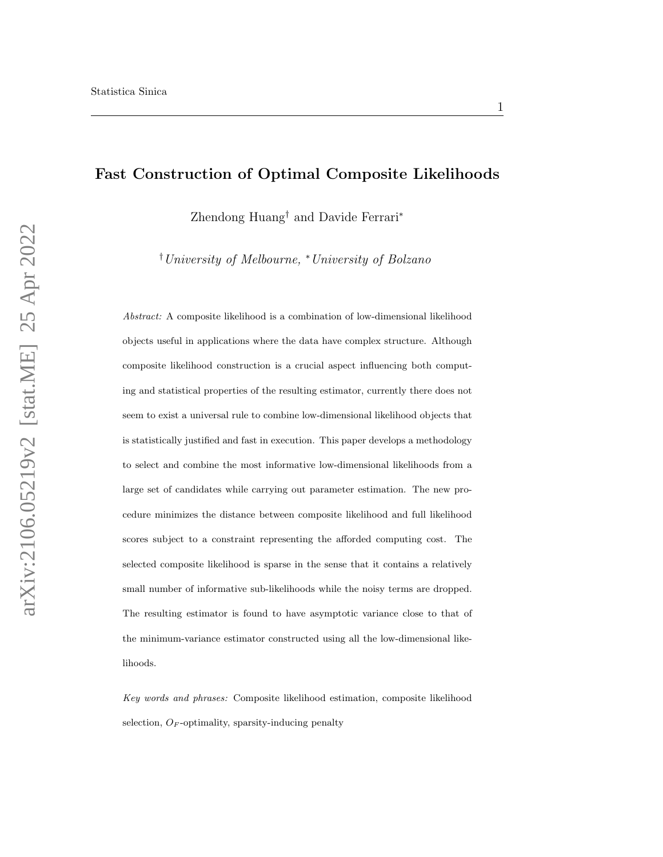# Fast Construction of Optimal Composite Likelihoods

Zhendong Huang† and Davide Ferrari<sup>∗</sup>

†University of Melbourne, <sup>∗</sup>University of Bolzano

Abstract: A composite likelihood is a combination of low-dimensional likelihood objects useful in applications where the data have complex structure. Although composite likelihood construction is a crucial aspect influencing both computing and statistical properties of the resulting estimator, currently there does not seem to exist a universal rule to combine low-dimensional likelihood objects that is statistically justified and fast in execution. This paper develops a methodology to select and combine the most informative low-dimensional likelihoods from a large set of candidates while carrying out parameter estimation. The new procedure minimizes the distance between composite likelihood and full likelihood scores subject to a constraint representing the afforded computing cost. The selected composite likelihood is sparse in the sense that it contains a relatively small number of informative sub-likelihoods while the noisy terms are dropped. The resulting estimator is found to have asymptotic variance close to that of the minimum-variance estimator constructed using all the low-dimensional likelihoods.

Key words and phrases: Composite likelihood estimation, composite likelihood selection,  $O_F$ -optimality, sparsity-inducing penalty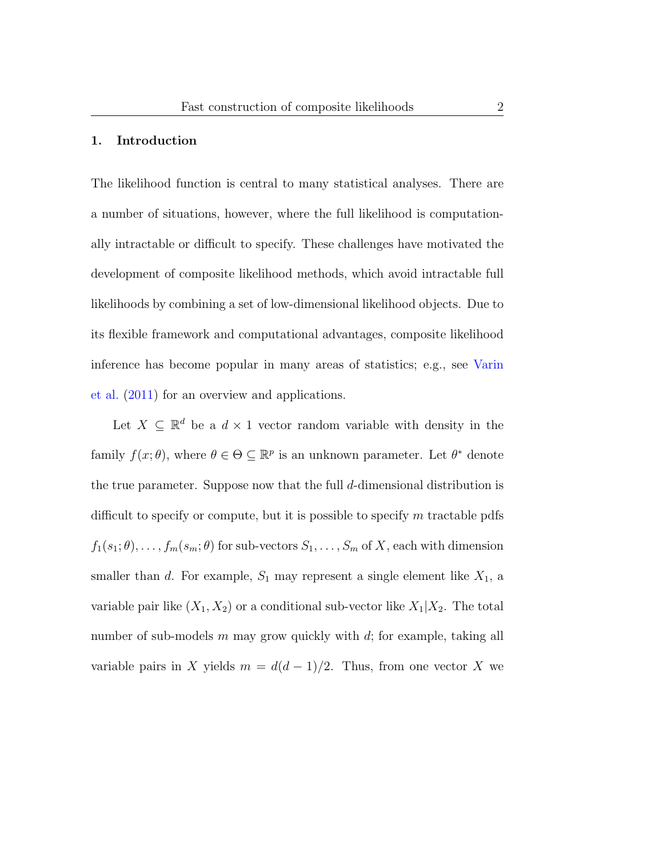#### 1. Introduction

The likelihood function is central to many statistical analyses. There are a number of situations, however, where the full likelihood is computationally intractable or difficult to specify. These challenges have motivated the development of composite likelihood methods, which avoid intractable full likelihoods by combining a set of low-dimensional likelihood objects. Due to its flexible framework and computational advantages, composite likelihood inference has become popular in many areas of statistics; e.g., see [Varin](#page-37-0) [et al.](#page-37-0) [\(2011\)](#page-37-0) for an overview and applications.

Let  $X \subseteq \mathbb{R}^d$  be a  $d \times 1$  vector random variable with density in the family  $f(x; \theta)$ , where  $\theta \in \Theta \subseteq \mathbb{R}^p$  is an unknown parameter. Let  $\theta^*$  denote the true parameter. Suppose now that the full d-dimensional distribution is difficult to specify or compute, but it is possible to specify  $m$  tractable pdfs  $f_1(s_1; \theta), \ldots, f_m(s_m; \theta)$  for sub-vectors  $S_1, \ldots, S_m$  of X, each with dimension smaller than d. For example,  $S_1$  may represent a single element like  $X_1$ , a variable pair like  $(X_1, X_2)$  or a conditional sub-vector like  $X_1|X_2$ . The total number of sub-models  $m$  may grow quickly with  $d$ ; for example, taking all variable pairs in X yields  $m = d(d-1)/2$ . Thus, from one vector X we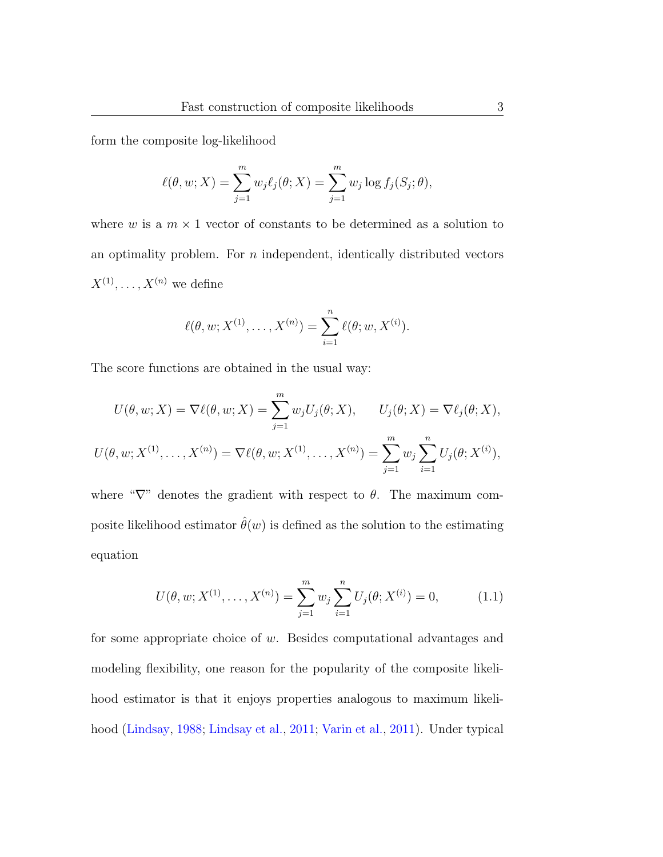form the composite log-likelihood

$$
\ell(\theta, w; X) = \sum_{j=1}^{m} w_j \ell_j(\theta; X) = \sum_{j=1}^{m} w_j \log f_j(S_j; \theta),
$$

where w is a  $m \times 1$  vector of constants to be determined as a solution to an optimality problem. For  $n$  independent, identically distributed vectors  $X^{(1)}, \ldots, X^{(n)}$  we define

$$
\ell(\theta, w; X^{(1)}, \dots, X^{(n)}) = \sum_{i=1}^n \ell(\theta; w, X^{(i)}).
$$

The score functions are obtained in the usual way:

$$
U(\theta, w; X) = \nabla \ell(\theta, w; X) = \sum_{j=1}^{m} w_j U_j(\theta; X), \qquad U_j(\theta; X) = \nabla \ell_j(\theta; X),
$$

$$
U(\theta, w; X^{(1)}, \dots, X^{(n)}) = \nabla \ell(\theta, w; X^{(1)}, \dots, X^{(n)}) = \sum_{j=1}^{m} w_j \sum_{i=1}^{n} U_j(\theta; X^{(i)}),
$$

where " $\nabla$ " denotes the gradient with respect to  $\theta$ . The maximum composite likelihood estimator  $\hat{\theta}(w)$  is defined as the solution to the estimating equation

<span id="page-2-0"></span>
$$
U(\theta, w; X^{(1)}, \dots, X^{(n)}) = \sum_{j=1}^{m} w_j \sum_{i=1}^{n} U_j(\theta; X^{(i)}) = 0,
$$
 (1.1)

for some appropriate choice of  $w$ . Besides computational advantages and modeling flexibility, one reason for the popularity of the composite likelihood estimator is that it enjoys properties analogous to maximum likelihood [\(Lindsay,](#page-37-1) [1988;](#page-37-1) [Lindsay et al.,](#page-37-2) [2011;](#page-37-2) [Varin et al.,](#page-37-0) [2011\)](#page-37-0). Under typical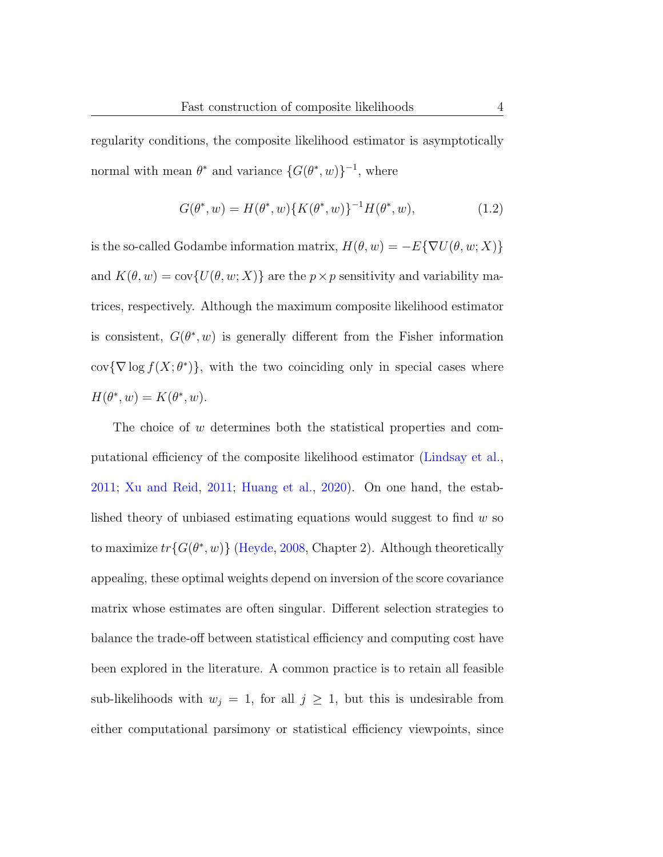regularity conditions, the composite likelihood estimator is asymptotically normal with mean  $\theta^*$  and variance  $\{G(\theta^*, w)\}^{-1}$ , where

<span id="page-3-0"></span>
$$
G(\theta^*, w) = H(\theta^*, w) \{ K(\theta^*, w) \}^{-1} H(\theta^*, w), \tag{1.2}
$$

is the so-called Godambe information matrix,  $H(\theta, w) = -E\{\nabla U(\theta, w; X)\}\$ and  $K(\theta, w) = \text{cov}\{U(\theta, w; X)\}\$ are the  $p \times p$  sensitivity and variability matrices, respectively. Although the maximum composite likelihood estimator is consistent,  $G(\theta^*, w)$  is generally different from the Fisher information cov $\{\nabla \log f(X; \theta^*)\},\$  with the two coinciding only in special cases where  $H(\theta^*, w) = K(\theta^*, w).$ 

The choice of w determines both the statistical properties and computational efficiency of the composite likelihood estimator [\(Lindsay et al.,](#page-37-2) [2011;](#page-37-2) [Xu and Reid,](#page-38-0) [2011;](#page-38-0) [Huang et al.,](#page-37-3) [2020\)](#page-37-3). On one hand, the established theory of unbiased estimating equations would suggest to find  $w$  so to maximize  $tr\{G(\theta^*, w)\}\$  [\(Heyde,](#page-37-4) [2008,](#page-37-4) Chapter 2). Although theoretically appealing, these optimal weights depend on inversion of the score covariance matrix whose estimates are often singular. Different selection strategies to balance the trade-off between statistical efficiency and computing cost have been explored in the literature. A common practice is to retain all feasible sub-likelihoods with  $w_j = 1$ , for all  $j \geq 1$ , but this is undesirable from either computational parsimony or statistical efficiency viewpoints, since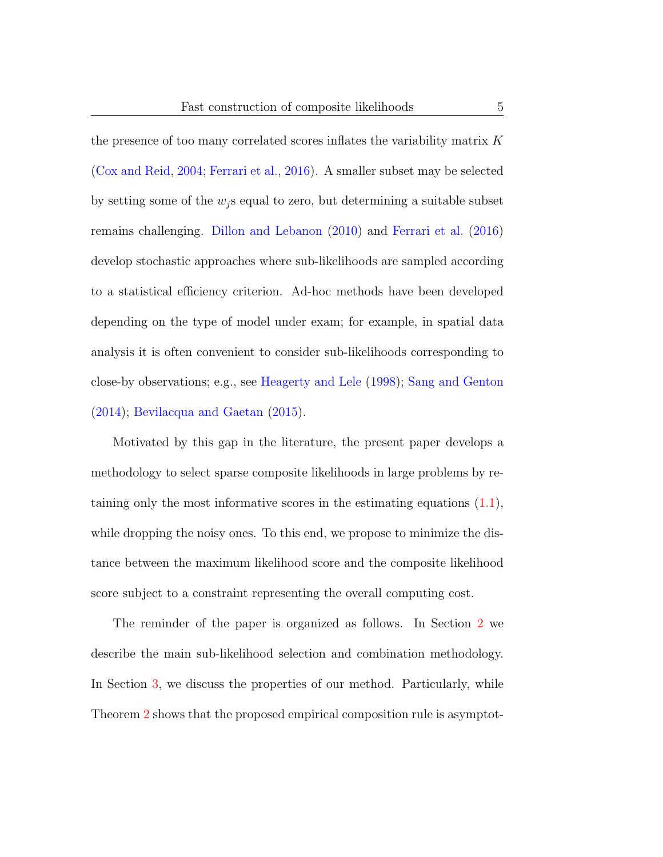the presence of too many correlated scores inflates the variability matrix K [\(Cox and Reid,](#page-36-0) [2004;](#page-36-0) [Ferrari et al.,](#page-36-1) [2016\)](#page-36-1). A smaller subset may be selected by setting some of the  $w_i$  s equal to zero, but determining a suitable subset remains challenging. [Dillon and Lebanon](#page-36-2) [\(2010\)](#page-36-2) and [Ferrari et al.](#page-36-1) [\(2016\)](#page-36-1) develop stochastic approaches where sub-likelihoods are sampled according to a statistical efficiency criterion. Ad-hoc methods have been developed depending on the type of model under exam; for example, in spatial data analysis it is often convenient to consider sub-likelihoods corresponding to close-by observations; e.g., see [Heagerty and Lele](#page-37-5) [\(1998\)](#page-37-5); [Sang and Genton](#page-37-6) [\(2014\)](#page-37-6); [Bevilacqua and Gaetan](#page-36-3) [\(2015\)](#page-36-3).

Motivated by this gap in the literature, the present paper develops a methodology to select sparse composite likelihoods in large problems by retaining only the most informative scores in the estimating equations  $(1.1)$ , while dropping the noisy ones. To this end, we propose to minimize the distance between the maximum likelihood score and the composite likelihood score subject to a constraint representing the overall computing cost.

The reminder of the paper is organized as follows. In Section [2](#page-5-0) we describe the main sub-likelihood selection and combination methodology. In Section [3,](#page-11-0) we discuss the properties of our method. Particularly, while Theorem [2](#page-14-0) shows that the proposed empirical composition rule is asymptot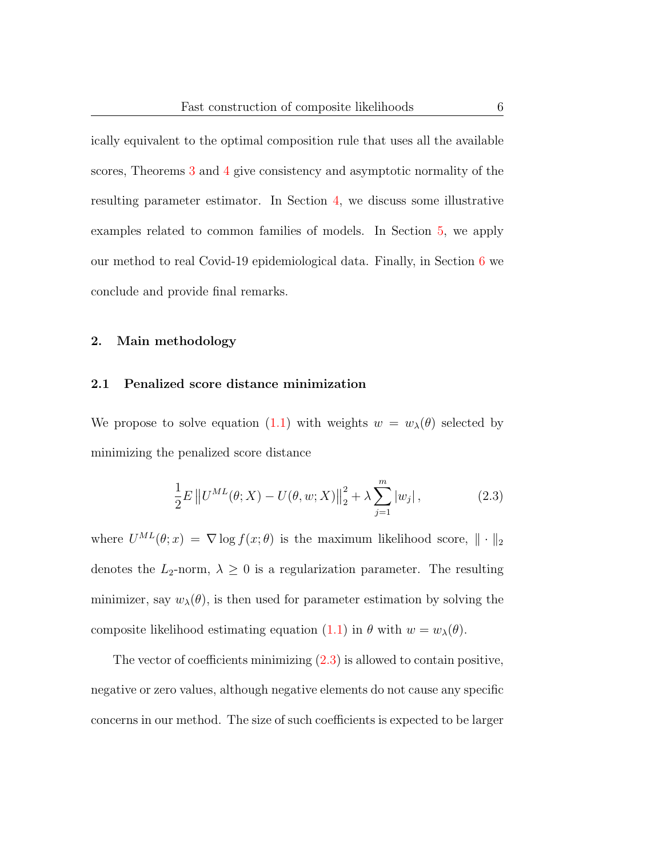ically equivalent to the optimal composition rule that uses all the available scores, Theorems [3](#page-16-0) and [4](#page-16-1) give consistency and asymptotic normality of the resulting parameter estimator. In Section [4,](#page-17-0) we discuss some illustrative examples related to common families of models. In Section [5,](#page-25-0) we apply our method to real Covid-19 epidemiological data. Finally, in Section [6](#page-27-0) we conclude and provide final remarks.

#### <span id="page-5-0"></span>2. Main methodology

#### 2.1 Penalized score distance minimization

We propose to solve equation [\(1.1\)](#page-2-0) with weights  $w = w_\lambda(\theta)$  selected by minimizing the penalized score distance

<span id="page-5-1"></span>
$$
\frac{1}{2}E\left\|U^{ML}(\theta;X) - U(\theta,w;X)\right\|_{2}^{2} + \lambda \sum_{j=1}^{m} |w_{j}|,
$$
\n(2.3)

where  $U^{ML}(\theta; x) = \nabla \log f(x; \theta)$  is the maximum likelihood score,  $\|\cdot\|_2$ denotes the  $L_2$ -norm,  $\lambda \geq 0$  is a regularization parameter. The resulting minimizer, say  $w_{\lambda}(\theta)$ , is then used for parameter estimation by solving the composite likelihood estimating equation [\(1.1\)](#page-2-0) in  $\theta$  with  $w = w_{\lambda}(\theta)$ .

The vector of coefficients minimizing  $(2.3)$  is allowed to contain positive, negative or zero values, although negative elements do not cause any specific concerns in our method. The size of such coefficients is expected to be larger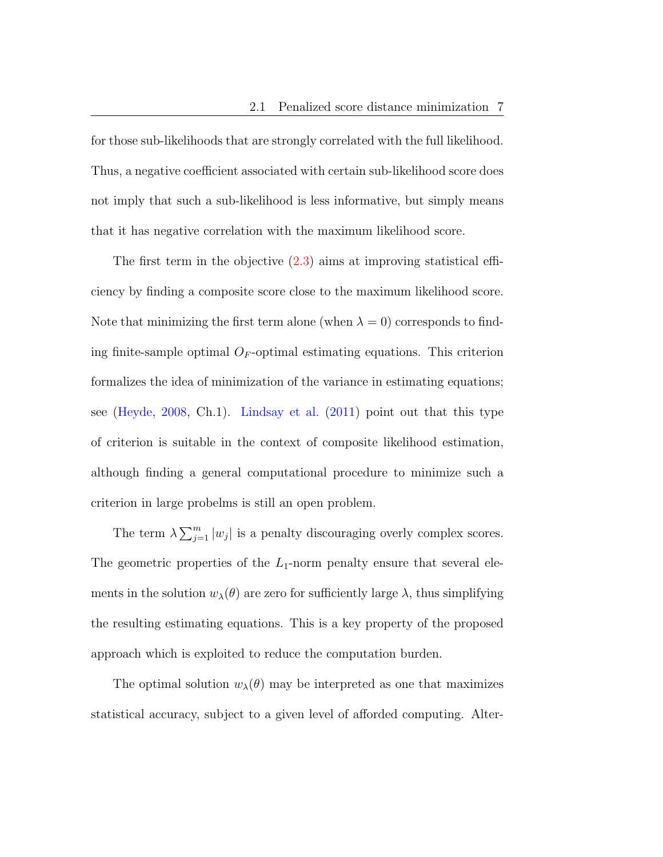for those sub-likelihoods that are strongly correlated with the full likelihood. Thus, a negative coefficient associated with certain sub-likelihood score does not imply that such a sub-likelihood is less informative, but simply means that it has negative correlation with the maximum likelihood score.

The first term in the objective  $(2.3)$  aims at improving statistical efficiency by finding a composite score close to the maximum likelihood score. Note that minimizing the first term alone (when  $\lambda = 0$ ) corresponds to finding finite-sample optimal  $O_F$ -optimal estimating equations. This criterion formalizes the idea of minimization of the variance in estimating equations; see [\(Heyde,](#page-37-4) [2008,](#page-37-4) Ch.1). [Lindsay et al.](#page-37-2) [\(2011\)](#page-37-2) point out that this type of criterion is suitable in the context of composite likelihood estimation, although finding a general computational procedure to minimize such a criterion in large probelms is still an open problem.

The term  $\lambda \sum_{j=1}^{m} |w_j|$  is a penalty discouraging overly complex scores. The geometric properties of the  $L_1$ -norm penalty ensure that several elements in the solution  $w_{\lambda}(\theta)$  are zero for sufficiently large  $\lambda$ , thus simplifying the resulting estimating equations. This is a key property of the proposed approach which is exploited to reduce the computation burden.

The optimal solution  $w_{\lambda}(\theta)$  may be interpreted as one that maximizes statistical accuracy, subject to a given level of afforded computing. Alter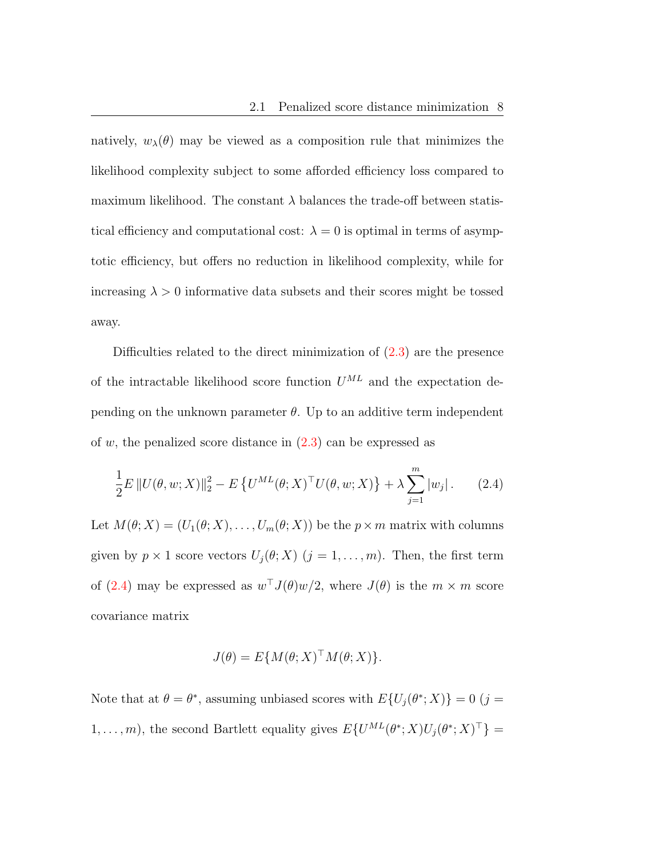natively,  $w_{\lambda}(\theta)$  may be viewed as a composition rule that minimizes the likelihood complexity subject to some afforded efficiency loss compared to maximum likelihood. The constant  $\lambda$  balances the trade-off between statistical efficiency and computational cost:  $\lambda = 0$  is optimal in terms of asymptotic efficiency, but offers no reduction in likelihood complexity, while for increasing  $\lambda > 0$  informative data subsets and their scores might be tossed away.

Difficulties related to the direct minimization of [\(2.3\)](#page-5-1) are the presence of the intractable likelihood score function  $U^{ML}$  and the expectation depending on the unknown parameter  $\theta$ . Up to an additive term independent of w, the penalized score distance in  $(2.3)$  can be expressed as

$$
\frac{1}{2}E ||U(\theta, w; X)||_2^2 - E \{ U^{ML}(\theta; X)^\top U(\theta, w; X) \} + \lambda \sum_{j=1}^m |w_j|.
$$
 (2.4)

Let  $M(\theta; X) = (U_1(\theta; X), \dots, U_m(\theta; X))$  be the  $p \times m$  matrix with columns given by  $p \times 1$  score vectors  $U_j(\theta; X)$   $(j = 1, ..., m)$ . Then, the first term of [\(2.4\)](#page-7-0) may be expressed as  $w<sup>T</sup> J(\theta)w/2$ , where  $J(\theta)$  is the  $m \times m$  score covariance matrix

<span id="page-7-0"></span>
$$
J(\theta) = E\{M(\theta;X)^{\top}M(\theta;X)\}.
$$

Note that at  $\theta = \theta^*$ , assuming unbiased scores with  $E\{U_j(\theta^*;X)\}=0$  (j =  $1, \ldots, m$ , the second Bartlett equality gives  $E\{U^{ML}(\theta^*; X)U_j(\theta^*; X)^\top\} =$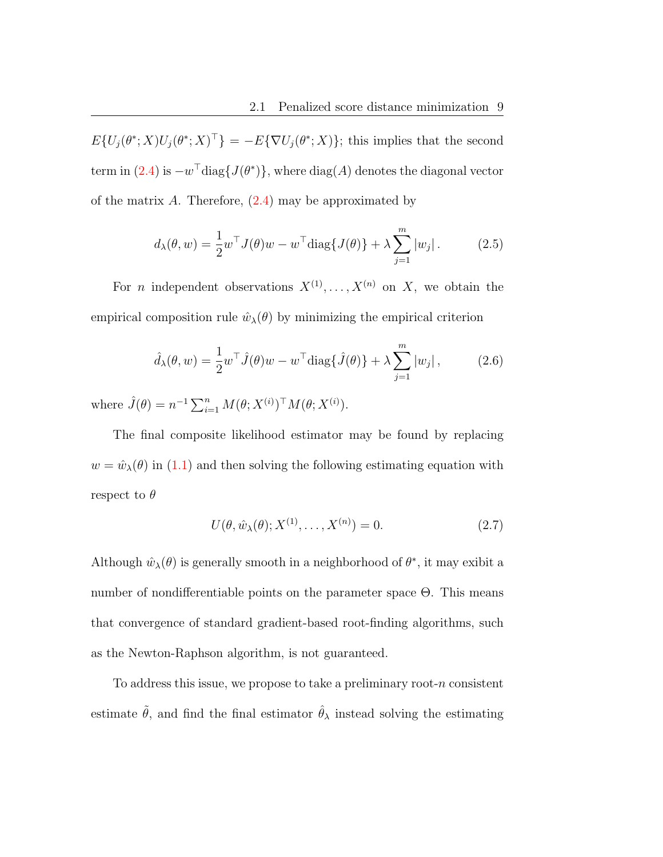$E\{U_j(\theta^*;X)U_j(\theta^*;X)^\top\} = -E\{\nabla U_j(\theta^*;X)\};$  this implies that the second term in  $(2.4)$  is  $-w^{\top}$ diag $\{J(\theta^*)\}$ , where  $\text{diag}(A)$  denotes the diagonal vector of the matrix  $A$ . Therefore,  $(2.4)$  may be approximated by

<span id="page-8-1"></span>
$$
d_{\lambda}(\theta, w) = \frac{1}{2} w^{\top} J(\theta) w - w^{\top} \text{diag}\{J(\theta)\} + \lambda \sum_{j=1}^{m} |w_j|.
$$
 (2.5)

For *n* independent observations  $X^{(1)}, \ldots, X^{(n)}$  on X, we obtain the empirical composition rule  $\hat{w}_{\lambda}(\theta)$  by minimizing the empirical criterion

<span id="page-8-0"></span>
$$
\hat{d}_{\lambda}(\theta, w) = \frac{1}{2} w^{\top} \hat{J}(\theta) w - w^{\top} \text{diag}\{\hat{J}(\theta)\} + \lambda \sum_{j=1}^{m} |w_j|, \quad (2.6)
$$

where  $\hat{J}(\theta) = n^{-1} \sum_{i=1}^{n} M(\theta; X^{(i)})^{\top} M(\theta; X^{(i)})$ .

The final composite likelihood estimator may be found by replacing  $w = \hat{w}_{\lambda}(\theta)$  in [\(1.1\)](#page-2-0) and then solving the following estimating equation with respect to  $\theta$ 

$$
U(\theta, \hat{w}_{\lambda}(\theta); X^{(1)}, \dots, X^{(n)}) = 0.
$$
\n
$$
(2.7)
$$

Although  $\hat{w}_{\lambda}(\theta)$  is generally smooth in a neighborhood of  $\theta^*$ , it may exibit a number of nondifferentiable points on the parameter space Θ. This means that convergence of standard gradient-based root-finding algorithms, such as the Newton-Raphson algorithm, is not guaranteed.

To address this issue, we propose to take a preliminary root- $n$  consistent estimate  $\tilde{\theta}$ , and find the final estimator  $\hat{\theta}_{\lambda}$  instead solving the estimating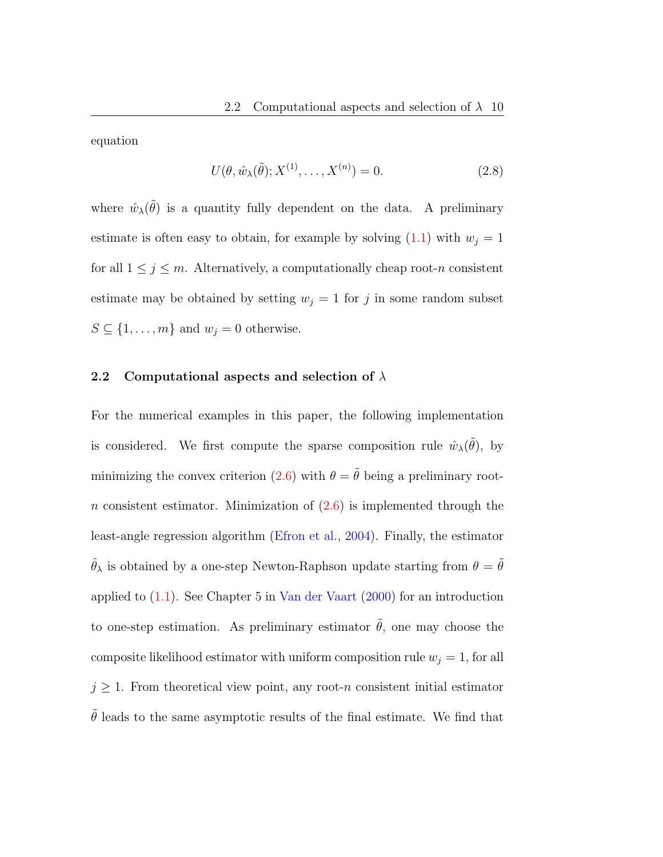equation

$$
U(\theta, \hat{w}_{\lambda}(\tilde{\theta}); X^{(1)}, \dots, X^{(n)}) = 0.
$$
\n(2.8)

where  $\hat{w}_{\lambda}(\tilde{\theta})$  is a quantity fully dependent on the data. A preliminary estimate is often easy to obtain, for example by solving  $(1.1)$  with  $w_j = 1$ for all  $1 \leq j \leq m$ . Alternatively, a computationally cheap root-n consistent estimate may be obtained by setting  $w_j = 1$  for j in some random subset  $S \subseteq \{1, \ldots, m\}$  and  $w_j = 0$  otherwise.

## <span id="page-9-0"></span>2.2 Computational aspects and selection of  $\lambda$

For the numerical examples in this paper, the following implementation is considered. We first compute the sparse composition rule  $\hat{w}_{\lambda}(\tilde{\theta})$ , by minimizing the convex criterion [\(2.6\)](#page-8-0) with  $\theta = \tilde{\theta}$  being a preliminary rootn consistent estimator. Minimization of  $(2.6)$  is implemented through the least-angle regression algorithm [\(Efron et al.,](#page-36-4) [2004\)](#page-36-4). Finally, the estimator  $\hat{\theta}_{\lambda}$  is obtained by a one-step Newton-Raphson update starting from  $\theta = \tilde{\theta}$ applied to [\(1.1\)](#page-2-0). See Chapter 5 in [Van der Vaart](#page-37-7) [\(2000\)](#page-37-7) for an introduction to one-step estimation. As preliminary estimator  $\tilde{\theta}$ , one may choose the composite likelihood estimator with uniform composition rule  $w_j = 1$ , for all  $j \geq 1$ . From theoretical view point, any root-n consistent initial estimator  $\tilde{\theta}$  leads to the same asymptotic results of the final estimate. We find that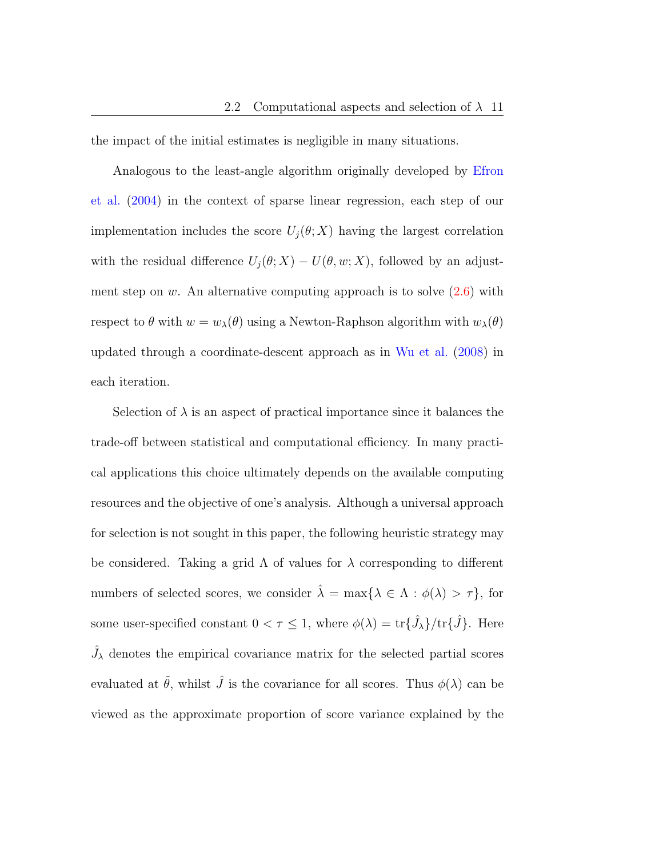the impact of the initial estimates is negligible in many situations.

Analogous to the least-angle algorithm originally developed by [Efron](#page-36-4) [et al.](#page-36-4) [\(2004\)](#page-36-4) in the context of sparse linear regression, each step of our implementation includes the score  $U_i(\theta; X)$  having the largest correlation with the residual difference  $U_j(\theta; X) - U(\theta, w; X)$ , followed by an adjustment step on w. An alternative computing approach is to solve  $(2.6)$  with respect to  $\theta$  with  $w = w_\lambda(\theta)$  using a Newton-Raphson algorithm with  $w_\lambda(\theta)$ updated through a coordinate-descent approach as in [Wu et al.](#page-37-8) [\(2008\)](#page-37-8) in each iteration.

Selection of  $\lambda$  is an aspect of practical importance since it balances the trade-off between statistical and computational efficiency. In many practical applications this choice ultimately depends on the available computing resources and the objective of one's analysis. Although a universal approach for selection is not sought in this paper, the following heuristic strategy may be considered. Taking a grid  $\Lambda$  of values for  $\lambda$  corresponding to different numbers of selected scores, we consider  $\hat{\lambda} = \max{\lambda \in \Lambda : \phi(\lambda) > \tau}$ , for some user-specified constant  $0 < \tau \leq 1$ , where  $\phi(\lambda) = \text{tr} \{\hat{J}_{\lambda}\}/\text{tr} \{\hat{J}\}\)$ . Here  $\hat{J}_{\lambda}$  denotes the empirical covariance matrix for the selected partial scores evaluated at  $\tilde{\theta}$ , whilst  $\hat{J}$  is the covariance for all scores. Thus  $\phi(\lambda)$  can be viewed as the approximate proportion of score variance explained by the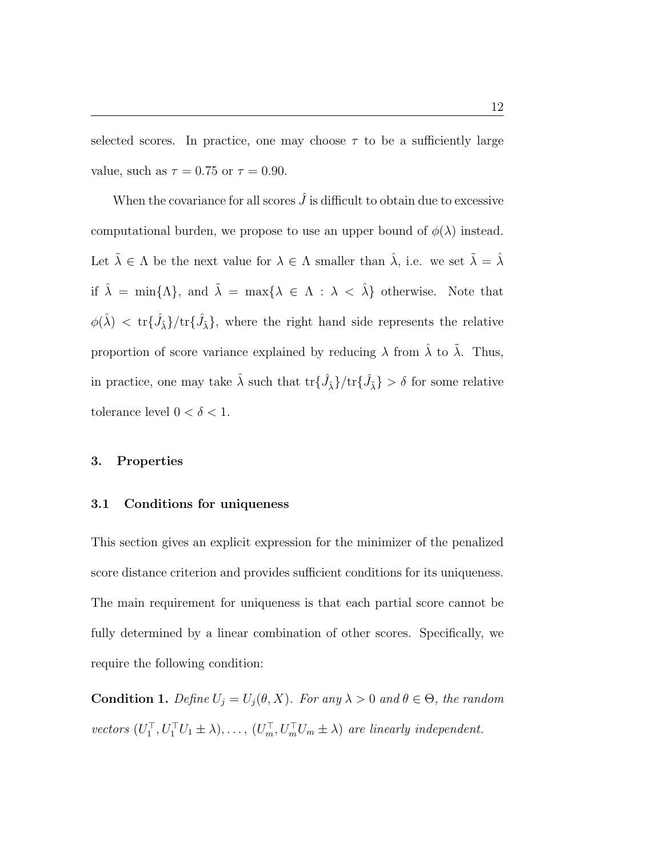selected scores. In practice, one may choose  $\tau$  to be a sufficiently large value, such as  $\tau = 0.75$  or  $\tau = 0.90$ .

When the covariance for all scores  $\hat{J}$  is difficult to obtain due to excessive computational burden, we propose to use an upper bound of  $\phi(\lambda)$  instead. Let  $\tilde{\lambda} \in \Lambda$  be the next value for  $\lambda \in \Lambda$  smaller than  $\hat{\lambda}$ , i.e. we set  $\tilde{\lambda} = \hat{\lambda}$ if  $\hat{\lambda} = \min{\{\Lambda\}}$ , and  $\tilde{\lambda} = \max{\{\lambda \in \Lambda : \lambda < \hat{\lambda}\}}$  otherwise. Note that  $\phi(\hat{\lambda}) \, < \, \text{tr} \{\hat{J}_{\hat{\lambda}}\} / \text{tr} \{\hat{J}_{\hat{\lambda}}\},$  where the right hand side represents the relative proportion of score variance explained by reducing  $\lambda$  from  $\hat{\lambda}$  to  $\tilde{\lambda}$ . Thus, in practice, one may take  $\hat{\lambda}$  such that  $\text{tr}\{\hat{J}_{\hat{\lambda}}\}/\text{tr}\{\hat{J}_{\tilde{\lambda}}\} > \delta$  for some relative tolerance level  $0 < \delta < 1$ .

#### <span id="page-11-0"></span>3. Properties

#### 3.1 Conditions for uniqueness

This section gives an explicit expression for the minimizer of the penalized score distance criterion and provides sufficient conditions for its uniqueness. The main requirement for uniqueness is that each partial score cannot be fully determined by a linear combination of other scores. Specifically, we require the following condition:

<span id="page-11-1"></span>**Condition 1.** Define  $U_j = U_j(\theta, X)$ . For any  $\lambda > 0$  and  $\theta \in \Theta$ , the random vectors  $(U_1^\top, U_1^\top U_1 \pm \lambda), \ldots, (U_m^\top, U_m^\top U_m \pm \lambda)$  are linearly independent.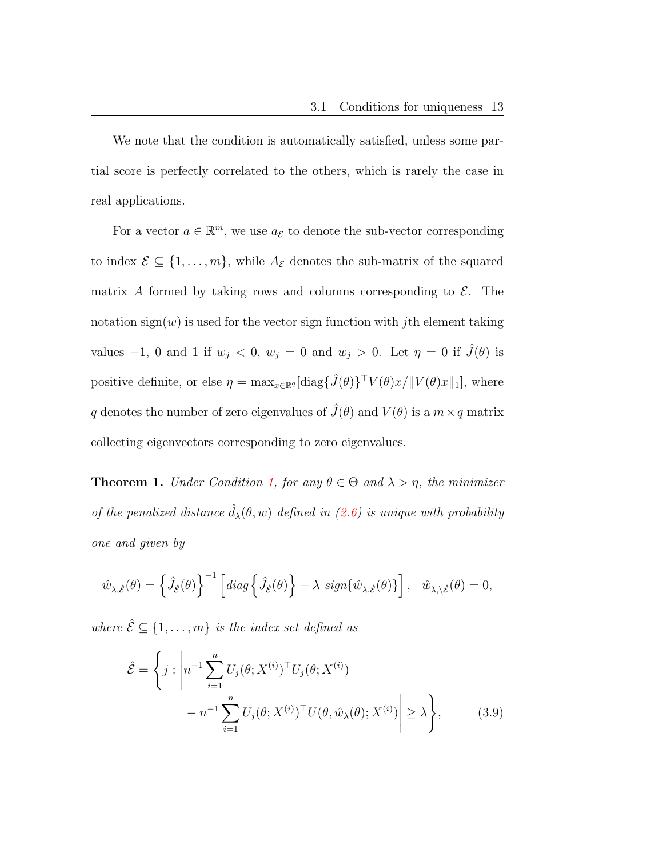We note that the condition is automatically satisfied, unless some partial score is perfectly correlated to the others, which is rarely the case in real applications.

For a vector  $a \in \mathbb{R}^m$ , we use  $a_{\mathcal{E}}$  to denote the sub-vector corresponding to index  $\mathcal{E} \subseteq \{1, \ldots, m\}$ , while  $A_{\mathcal{E}}$  denotes the sub-matrix of the squared matrix A formed by taking rows and columns corresponding to  $\mathcal{E}$ . The notation sign(w) is used for the vector sign function with *j*th element taking values  $-1$ , 0 and 1 if  $w_j < 0$ ,  $w_j = 0$  and  $w_j > 0$ . Let  $\eta = 0$  if  $\hat{J}(\theta)$  is positive definite, or else  $\eta = \max_{x \in \mathbb{R}^q} [\text{diag} \{\hat{J}(\theta)\}^\top V(\theta)x/||V(\theta)x||_1]$ , where q denotes the number of zero eigenvalues of  $\hat{J}(\theta)$  and  $V(\theta)$  is a  $m \times q$  matrix collecting eigenvectors corresponding to zero eigenvalues.

<span id="page-12-1"></span>**Theorem 1.** Under Condition [1,](#page-11-1) for any  $\theta \in \Theta$  and  $\lambda > \eta$ , the minimizer of the penalized distance  $\hat{d}_{\lambda}(\theta, w)$  defined in [\(2.6\)](#page-8-0) is unique with probability one and given by

$$
\hat{w}_{\lambda,\hat{\mathcal{E}}}(\theta) = \left\{ \hat{J}_{\hat{\mathcal{E}}}(\theta) \right\}^{-1} \left[ diag \left\{ \hat{J}_{\hat{\mathcal{E}}}(\theta) \right\} - \lambda \ sign \{ \hat{w}_{\lambda,\hat{\mathcal{E}}}(\theta) \} \right], \ \ \hat{w}_{\lambda,\setminus\hat{\mathcal{E}}}(\theta) = 0,
$$

where  $\hat{\mathcal{E}} \subseteq \{1, \ldots, m\}$  is the index set defined as

<span id="page-12-0"></span>
$$
\hat{\mathcal{E}} = \left\{ j : \left| n^{-1} \sum_{i=1}^{n} U_j(\theta; X^{(i)})^\top U_j(\theta; X^{(i)}) - n^{-1} \sum_{i=1}^{n} U_j(\theta; X^{(i)})^\top U(\theta, \hat{w}_{\lambda}(\theta); X^{(i)}) \right| \geq \lambda \right\},
$$
\n(3.9)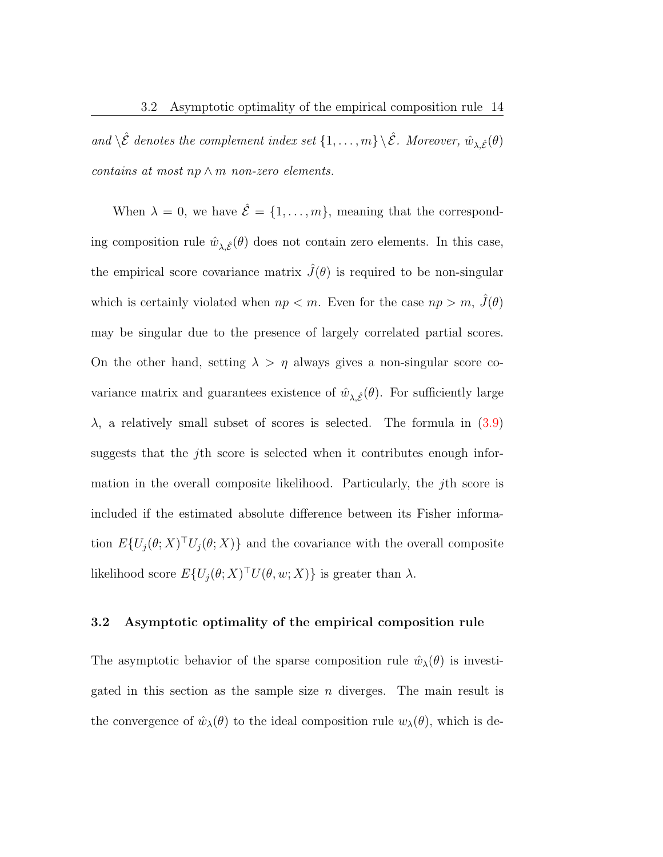and  $\setminus \hat{\mathcal{E}}$  denotes the complement index set  $\{1,\ldots,m\} \setminus \hat{\mathcal{E}}$ . Moreover,  $\hat{w}_{\lambda,\hat{\mathcal{E}}}(\theta)$ contains at most np  $\wedge$  m non-zero elements.

When  $\lambda = 0$ , we have  $\hat{\mathcal{E}} = \{1, \ldots, m\}$ , meaning that the corresponding composition rule  $\hat{w}_{\lambda,\hat{\mathcal{E}}}(\theta)$  does not contain zero elements. In this case, the empirical score covariance matrix  $\hat{J}(\theta)$  is required to be non-singular which is certainly violated when  $np < m$ . Even for the case  $np > m$ ,  $\hat{J}(\theta)$ may be singular due to the presence of largely correlated partial scores. On the other hand, setting  $\lambda > \eta$  always gives a non-singular score covariance matrix and guarantees existence of  $\hat{w}_{\lambda,\hat{\mathcal{E}}}(\theta)$ . For sufficiently large  $\lambda$ , a relatively small subset of scores is selected. The formula in  $(3.9)$ suggests that the jth score is selected when it contributes enough information in the overall composite likelihood. Particularly, the  $j$ <sup>th</sup> score is included if the estimated absolute difference between its Fisher information  $E\{U_j(\theta;X)^\top U_j(\theta;X)\}\$  and the covariance with the overall composite likelihood score  $E\{U_j(\theta;X)^\top U(\theta,w;X)\}\)$  is greater than  $\lambda$ .

## 3.2 Asymptotic optimality of the empirical composition rule

The asymptotic behavior of the sparse composition rule  $\hat{w}_{\lambda}(\theta)$  is investigated in this section as the sample size  $n$  diverges. The main result is the convergence of  $\hat{w}_{\lambda}(\theta)$  to the ideal composition rule  $w_{\lambda}(\theta)$ , which is de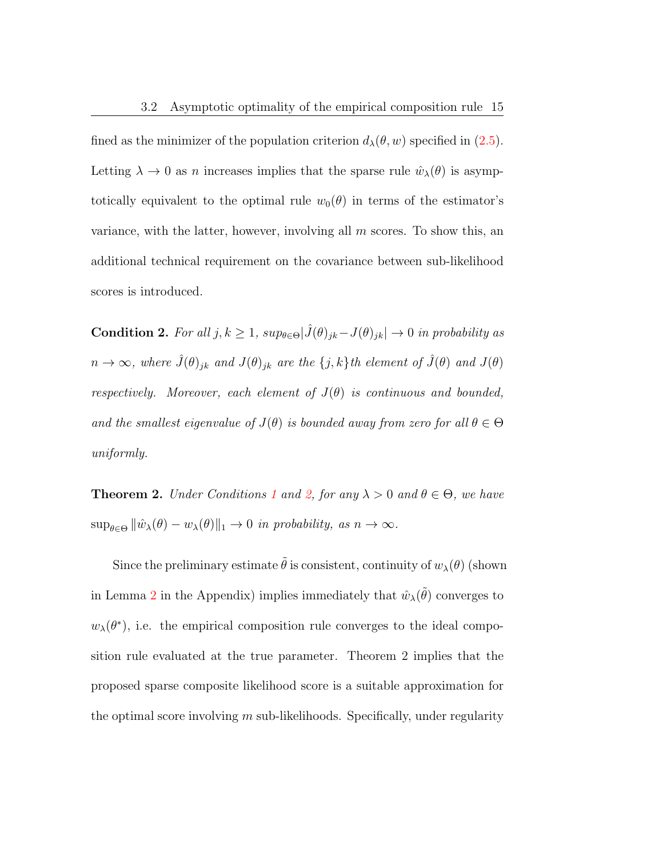fined as the minimizer of the population criterion  $d_{\lambda}(\theta, w)$  specified in [\(2.5\)](#page-8-1). Letting  $\lambda \to 0$  as n increases implies that the sparse rule  $\hat{w}_{\lambda}(\theta)$  is asymptotically equivalent to the optimal rule  $w_0(\theta)$  in terms of the estimator's variance, with the latter, however, involving all  $m$  scores. To show this, an additional technical requirement on the covariance between sub-likelihood scores is introduced.

<span id="page-14-1"></span>Condition 2. For all  $j, k \geq 1$ ,  $sup_{\theta \in \Theta} |\hat{J}(\theta)_{jk} - J(\theta)_{jk}| \to 0$  in probability as  $n \to \infty$ , where  $\hat{J}(\theta)_{jk}$  and  $J(\theta)_{jk}$  are the  $\{j,k\}$ th element of  $\hat{J}(\theta)$  and  $J(\theta)$ respectively. Moreover, each element of  $J(\theta)$  is continuous and bounded, and the smallest eigenvalue of  $J(\theta)$  is bounded away from zero for all  $\theta \in \Theta$ uniformly.

<span id="page-14-0"></span>**Theorem 2.** Under Conditions [1](#page-11-1) and [2,](#page-14-1) for any  $\lambda > 0$  and  $\theta \in \Theta$ , we have  $\sup_{\theta \in \Theta} ||\hat{w}_{\lambda}(\theta) - w_{\lambda}(\theta)||_1 \to 0$  in probability, as  $n \to \infty$ .

Since the preliminary estimate  $\tilde{\theta}$  is consistent, continuity of  $w_{\lambda}(\theta)$  (shown in Lemma [2](#page-33-0) in the Appendix) implies immediately that  $\hat{w}_{\lambda}(\tilde{\theta})$  converges to  $w_{\lambda}(\theta^*)$ , i.e. the empirical composition rule converges to the ideal composition rule evaluated at the true parameter. Theorem 2 implies that the proposed sparse composite likelihood score is a suitable approximation for the optimal score involving  $m$  sub-likelihoods. Specifically, under regularity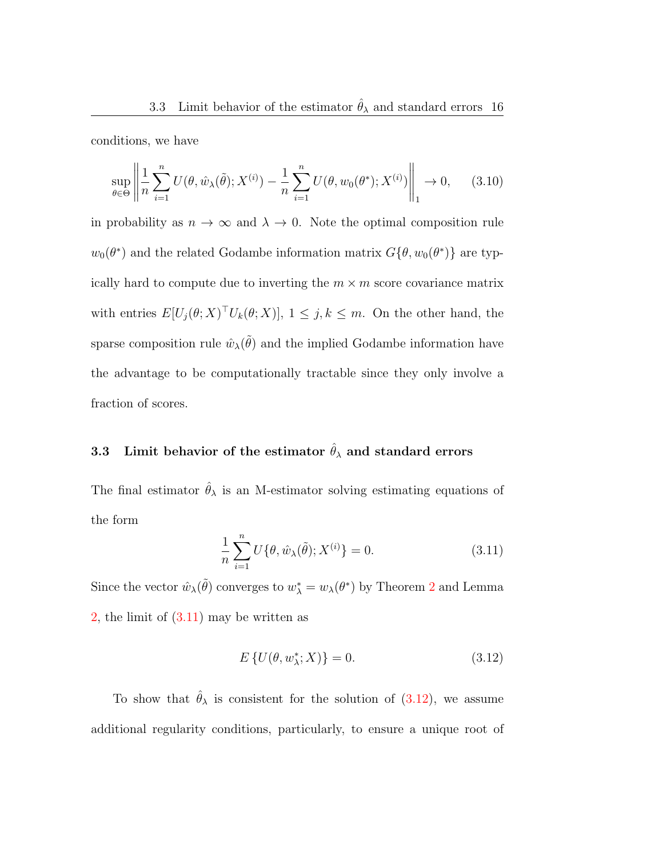conditions, we have

<span id="page-15-2"></span>
$$
\sup_{\theta \in \Theta} \left\| \frac{1}{n} \sum_{i=1}^{n} U(\theta, \hat{w}_{\lambda}(\tilde{\theta}); X^{(i)}) - \frac{1}{n} \sum_{i=1}^{n} U(\theta, w_0(\theta^*); X^{(i)}) \right\|_1 \to 0, \quad (3.10)
$$

in probability as  $n \to \infty$  and  $\lambda \to 0$ . Note the optimal composition rule  $w_0(\theta^*)$  and the related Godambe information matrix  $G\{\theta, w_0(\theta^*)\}$  are typically hard to compute due to inverting the  $m \times m$  score covariance matrix with entries  $E[U_j(\theta;X)^\top U_k(\theta;X)], 1 \leq j, k \leq m$ . On the other hand, the sparse composition rule  $\hat{w}_{\lambda}(\tilde{\theta})$  and the implied Godambe information have the advantage to be computationally tractable since they only involve a fraction of scores.

# 3.3 Limit behavior of the estimator  $\hat{\theta}_{\lambda}$  and standard errors

<span id="page-15-0"></span>The final estimator  $\hat{\theta}_{\lambda}$  is an M-estimator solving estimating equations of the form

$$
\frac{1}{n}\sum_{i=1}^{n}U\{\theta,\hat{w}_{\lambda}(\tilde{\theta});X^{(i)}\}=0.
$$
\n(3.11)

Since the vector  $\hat{w}_{\lambda}(\tilde{\theta})$  converges to  $w_{\lambda}^* = w_{\lambda}(\theta^*)$  by Theorem [2](#page-14-0) and Lemma [2,](#page-33-0) the limit of  $(3.11)$  may be written as

<span id="page-15-1"></span>
$$
E\left\{U(\theta, w_{\lambda}^*; X)\right\} = 0. \tag{3.12}
$$

To show that  $\hat{\theta}_{\lambda}$  is consistent for the solution of [\(3.12\)](#page-15-1), we assume additional regularity conditions, particularly, to ensure a unique root of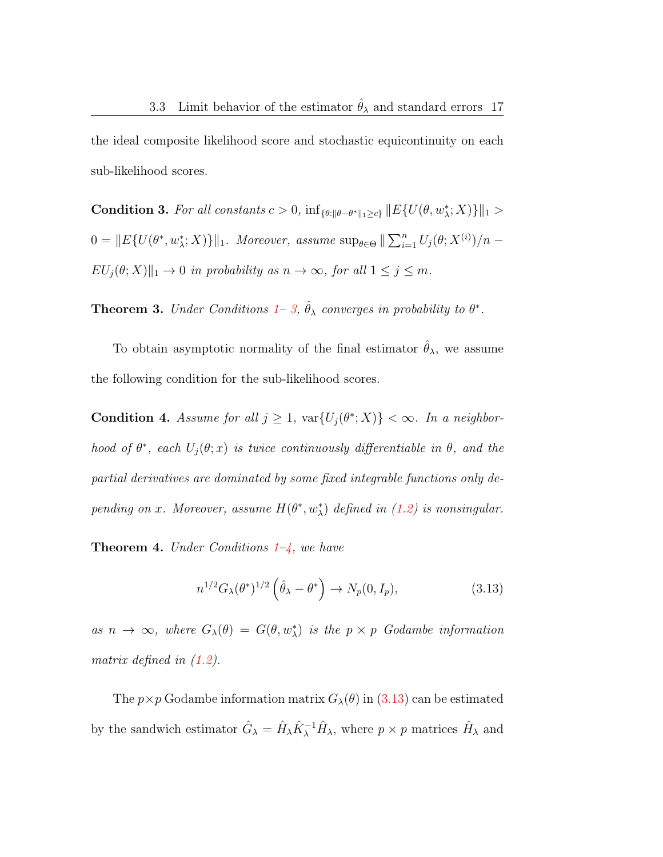the ideal composite likelihood score and stochastic equicontinuity on each sub-likelihood scores.

<span id="page-16-2"></span>Condition 3. For all constants  $c > 0$ ,  $\inf_{\{\theta: \|\theta-\theta^*\|_1\geq c\}} \|E\{U(\theta, w^*_\lambda; X)\}\|_1 >$  $0 = ||E\{U(\theta^*, w^*_\lambda; X)\}||_1$ . Moreover, assume  $\sup_{\theta \in \Theta} ||\sum_{i=1}^n U_j(\theta; X^{(i)})/n EU_j(\theta;X)\Vert_1 \to 0$  in probability as  $n \to \infty$ , for all  $1 \leq j \leq m$ .

<span id="page-16-0"></span>**Theorem 3.** Under Conditions [1–](#page-11-1) [3,](#page-16-2)  $\hat{\theta}_{\lambda}$  converges in probability to  $\theta^*$ .

To obtain asymptotic normality of the final estimator  $\hat{\theta}_{\lambda}$ , we assume the following condition for the sub-likelihood scores.

<span id="page-16-3"></span>**Condition 4.** Assume for all  $j \geq 1$ ,  $\text{var}\{U_j(\theta^*;X)\} < \infty$ . In a neighborhood of  $\theta^*$ , each  $U_j(\theta; x)$  is twice continuously differentiable in  $\theta$ , and the partial derivatives are dominated by some fixed integrable functions only depending on x. Moreover, assume  $H(\theta^*, w_\lambda^*)$  defined in [\(1.2\)](#page-3-0) is nonsingular.

<span id="page-16-1"></span>**Theorem 4.** Under Conditions  $1-\frac{1}{4}$ , we have

<span id="page-16-4"></span>
$$
n^{1/2}G_{\lambda}(\theta^*)^{1/2}\left(\hat{\theta}_{\lambda} - \theta^*\right) \to N_p(0, I_p),\tag{3.13}
$$

as  $n \to \infty$ , where  $G_{\lambda}(\theta) = G(\theta, w_{\lambda}^*)$  is the  $p \times p$  Godambe information matrix defined in [\(1.2\)](#page-3-0).

The  $p \times p$  Godambe information matrix  $G_{\lambda}(\theta)$  in [\(3.13\)](#page-16-4) can be estimated by the sandwich estimator  $\hat{G}_{\lambda} = \hat{H}_{\lambda} \hat{K}_{\lambda}^{-1} \hat{H}_{\lambda}$ , where  $p \times p$  matrices  $\hat{H}_{\lambda}$  and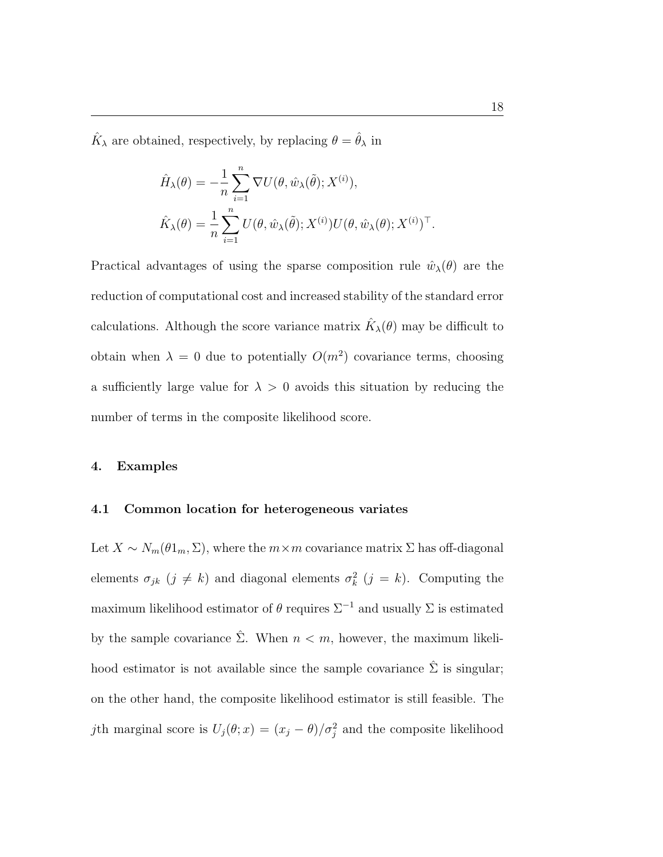$\hat{K}_{\lambda}$  are obtained, respectively, by replacing  $\theta = \hat{\theta}_{\lambda}$  in

$$
\hat{H}_{\lambda}(\theta) = -\frac{1}{n} \sum_{i=1}^{n} \nabla U(\theta, \hat{w}_{\lambda}(\tilde{\theta}); X^{(i)}),
$$
  

$$
\hat{K}_{\lambda}(\theta) = \frac{1}{n} \sum_{i=1}^{n} U(\theta, \hat{w}_{\lambda}(\tilde{\theta}); X^{(i)}) U(\theta, \hat{w}_{\lambda}(\theta); X^{(i)})^{\top}.
$$

Practical advantages of using the sparse composition rule  $\hat{w}_{\lambda}(\theta)$  are the reduction of computational cost and increased stability of the standard error calculations. Although the score variance matrix  $\hat{K}_{\lambda}(\theta)$  may be difficult to obtain when  $\lambda = 0$  due to potentially  $O(m^2)$  covariance terms, choosing a sufficiently large value for  $\lambda > 0$  avoids this situation by reducing the number of terms in the composite likelihood score.

#### <span id="page-17-0"></span>4. Examples

#### 4.1 Common location for heterogeneous variates

Let  $X \sim N_m(\theta 1_m, \Sigma)$ , where the  $m \times m$  covariance matrix  $\Sigma$  has off-diagonal elements  $\sigma_{jk}$   $(j \neq k)$  and diagonal elements  $\sigma_k^2$   $(j = k)$ . Computing the maximum likelihood estimator of  $\theta$  requires  $\Sigma^{-1}$  and usually  $\Sigma$  is estimated by the sample covariance  $\hat{\Sigma}$ . When  $n < m$ , however, the maximum likelihood estimator is not available since the sample covariance  $\hat{\Sigma}$  is singular; on the other hand, the composite likelihood estimator is still feasible. The jth marginal score is  $U_j(\theta; x) = (x_j - \theta)/\sigma_j^2$  and the composite likelihood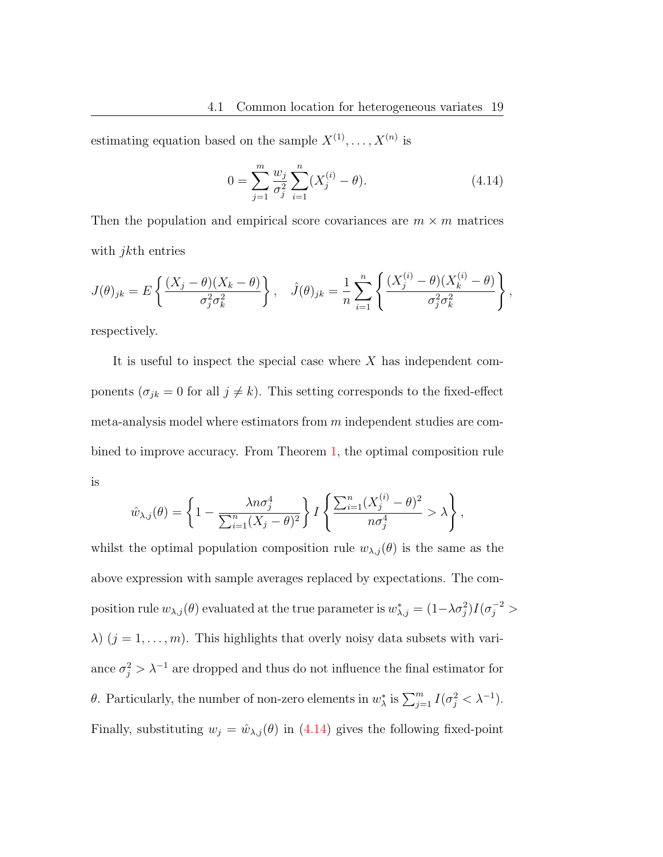estimating equation based on the sample  $X^{(1)}, \ldots, X^{(n)}$  is

<span id="page-18-0"></span>
$$
0 = \sum_{j=1}^{m} \frac{w_j}{\sigma_j^2} \sum_{i=1}^{n} (X_j^{(i)} - \theta).
$$
 (4.14)

Then the population and empirical score covariances are  $m \times m$  matrices with *jkth* entries

$$
J(\theta)_{jk} = E\left\{ \frac{(X_j - \theta)(X_k - \theta)}{\sigma_j^2 \sigma_k^2} \right\}, \quad \hat{J}(\theta)_{jk} = \frac{1}{n} \sum_{i=1}^n \left\{ \frac{(X_j^{(i)} - \theta)(X_k^{(i)} - \theta)}{\sigma_j^2 \sigma_k^2} \right\},
$$

respectively.

It is useful to inspect the special case where  $X$  has independent components ( $\sigma_{jk} = 0$  for all  $j \neq k$ ). This setting corresponds to the fixed-effect meta-analysis model where estimators from  $m$  independent studies are combined to improve accuracy. From Theorem [1,](#page-12-1) the optimal composition rule is

$$
\hat{w}_{\lambda,j}(\theta) = \left\{1 - \frac{\lambda n \sigma_j^4}{\sum_{i=1}^n (X_j - \theta)^2}\right\} I\left\{\frac{\sum_{i=1}^n (X_j^{(i)} - \theta)^2}{n \sigma_j^4} > \lambda\right\},\,
$$

whilst the optimal population composition rule  $w_{\lambda,j}(\theta)$  is the same as the above expression with sample averages replaced by expectations. The composition rule  $w_{\lambda,j}(\theta)$  evaluated at the true parameter is  $w_{\lambda,j}^* = (1-\lambda\sigma_j^2)I(\sigma_j^{-2} >$  $\lambda$ )  $(j = 1, \ldots, m)$ . This highlights that overly noisy data subsets with variance  $\sigma_j^2 > \lambda^{-1}$  are dropped and thus do not influence the final estimator for θ. Particularly, the number of non-zero elements in  $w^*_{\lambda}$  is  $\sum_{j=1}^m I(\sigma_j^2 < \lambda^{-1})$ . Finally, substituting  $w_j = \hat{w}_{\lambda,j}(\theta)$  in [\(4.14\)](#page-18-0) gives the following fixed-point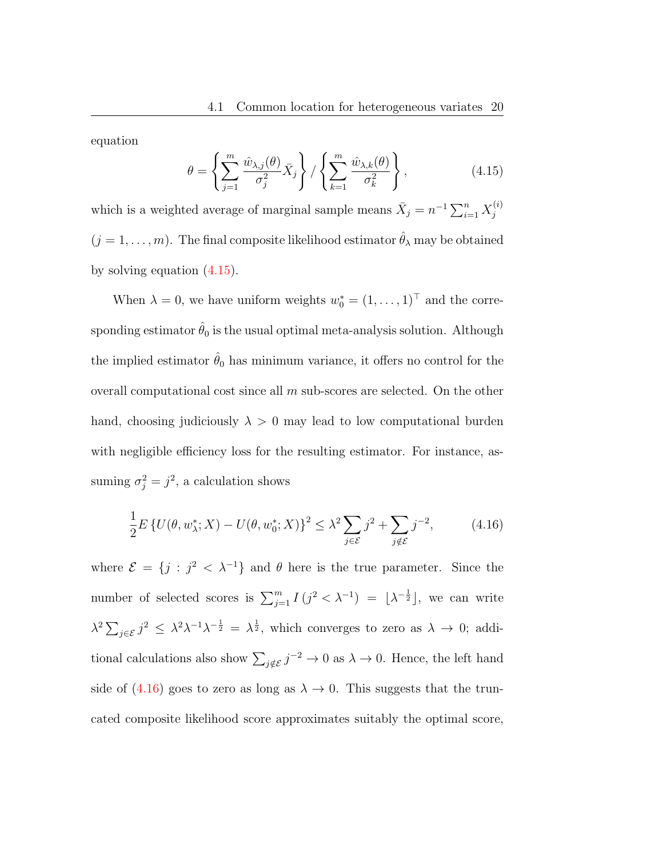<span id="page-19-0"></span>equation

$$
\theta = \left\{ \sum_{j=1}^{m} \frac{\hat{w}_{\lambda,j}(\theta)}{\sigma_j^2} \bar{X}_j \right\} / \left\{ \sum_{k=1}^{m} \frac{\hat{w}_{\lambda,k}(\theta)}{\sigma_k^2} \right\},
$$
(4.15)

which is a weighted average of marginal sample means  $\bar{X}_j = n^{-1} \sum_{i=1}^n X_j^{(i)}$ j  $(j = 1, \ldots, m)$ . The final composite likelihood estimator  $\hat{\theta}_{\lambda}$  may be obtained by solving equation [\(4.15\)](#page-19-0).

When  $\lambda = 0$ , we have uniform weights  $w_0^* = (1, \ldots, 1)^\top$  and the corresponding estimator  $\hat{\theta}_0$  is the usual optimal meta-analysis solution. Although the implied estimator  $\hat{\theta}_0$  has minimum variance, it offers no control for the overall computational cost since all  $m$  sub-scores are selected. On the other hand, choosing judiciously  $\lambda > 0$  may lead to low computational burden with negligible efficiency loss for the resulting estimator. For instance, assuming  $\sigma_j^2 = j^2$ , a calculation shows

<span id="page-19-1"></span>
$$
\frac{1}{2}E\left\{U(\theta, w_{\lambda}^*; X) - U(\theta, w_0^*; X)\right\}^2 \le \lambda^2 \sum_{j \in \mathcal{E}} j^2 + \sum_{j \notin \mathcal{E}} j^{-2},\tag{4.16}
$$

where  $\mathcal{E} = \{j : j^2 < \lambda^{-1}\}\$ and  $\theta$  here is the true parameter. Since the number of selected scores is  $\sum_{j=1}^{m} I(j^2 < \lambda^{-1}) = [\lambda^{-\frac{1}{2}}]$ , we can write  $\lambda^2 \sum_{j \in \mathcal{E}} j^2 \leq \lambda^2 \lambda^{-1} \lambda^{-\frac{1}{2}} = \lambda^{\frac{1}{2}}$ , which converges to zero as  $\lambda \to 0$ ; additional calculations also show  $\sum_{j \notin \mathcal{E}} j^{-2} \to 0$  as  $\lambda \to 0$ . Hence, the left hand side of [\(4.16\)](#page-19-1) goes to zero as long as  $\lambda \to 0$ . This suggests that the truncated composite likelihood score approximates suitably the optimal score,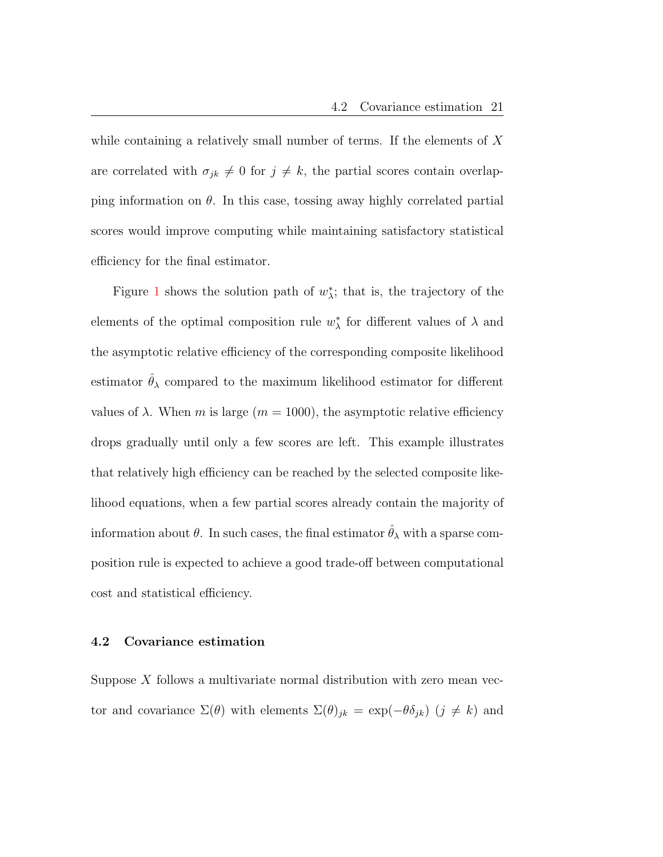while containing a relatively small number of terms. If the elements of  $X$ are correlated with  $\sigma_{jk} \neq 0$  for  $j \neq k$ , the partial scores contain overlapping information on  $\theta$ . In this case, tossing away highly correlated partial scores would improve computing while maintaining satisfactory statistical efficiency for the final estimator.

Figure [1](#page-21-0) shows the solution path of  $w^*_{\lambda}$ ; that is, the trajectory of the elements of the optimal composition rule  $w^*_{\lambda}$  for different values of  $\lambda$  and the asymptotic relative efficiency of the corresponding composite likelihood estimator  $\hat{\theta}_{\lambda}$  compared to the maximum likelihood estimator for different values of  $\lambda$ . When m is large ( $m = 1000$ ), the asymptotic relative efficiency drops gradually until only a few scores are left. This example illustrates that relatively high efficiency can be reached by the selected composite likelihood equations, when a few partial scores already contain the majority of information about  $\theta$ . In such cases, the final estimator  $\hat{\theta}_{\lambda}$  with a sparse composition rule is expected to achieve a good trade-off between computational cost and statistical efficiency.

#### <span id="page-20-0"></span>4.2 Covariance estimation

Suppose X follows a multivariate normal distribution with zero mean vector and covariance  $\Sigma(\theta)$  with elements  $\Sigma(\theta)_{jk} = \exp(-\theta \delta_{jk})$   $(j \neq k)$  and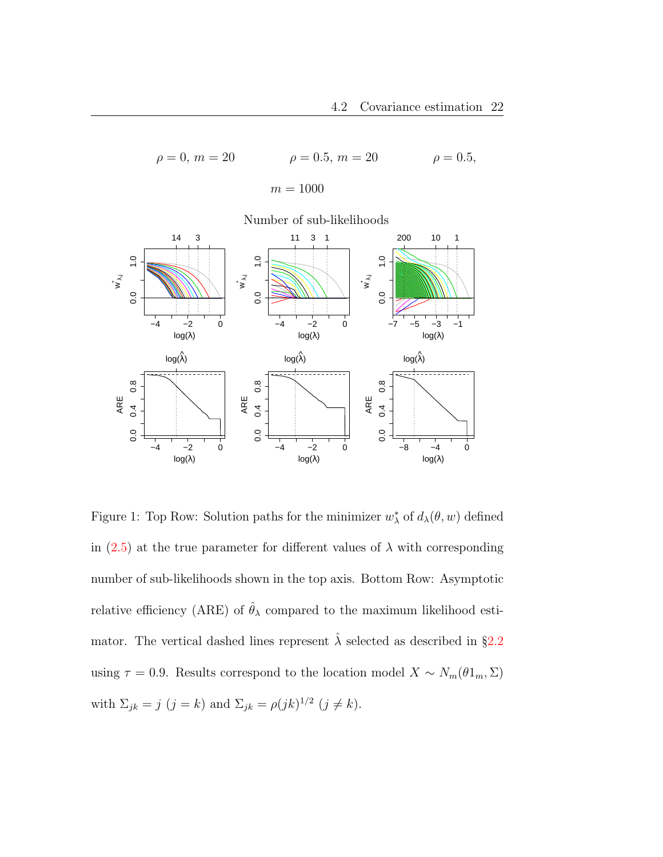$\rho = 0, m = 20$   $\rho = 0.5, m = 20$   $\rho = 0.5,$  $m = 1000$ 



<span id="page-21-0"></span>Figure 1: Top Row: Solution paths for the minimizer  $w^*_{\lambda}$  of  $d_{\lambda}(\theta, w)$  defined in [\(2.5\)](#page-8-1) at the true parameter for different values of  $\lambda$  with corresponding number of sub-likelihoods shown in the top axis. Bottom Row: Asymptotic relative efficiency (ARE) of  $\hat{\theta}_{\lambda}$  compared to the maximum likelihood estimator. The vertical dashed lines represent  $\hat{\lambda}$  selected as described in §[2.2](#page-9-0) using  $\tau = 0.9$ . Results correspond to the location model  $X \sim N_m(\theta 1_m, \Sigma)$ with  $\Sigma_{jk} = j \ (j = k)$  and  $\Sigma_{jk} = \rho (jk)^{1/2} \ (j \neq k)$ .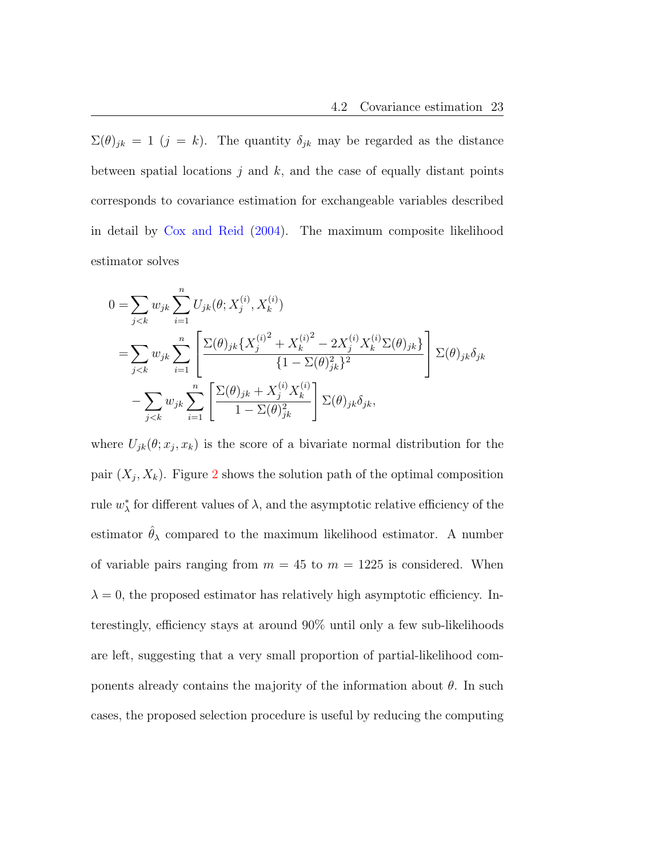$\Sigma(\theta)_{jk} = 1$  (j = k). The quantity  $\delta_{jk}$  may be regarded as the distance between spatial locations  $j$  and  $k$ , and the case of equally distant points corresponds to covariance estimation for exchangeable variables described in detail by [Cox and Reid](#page-36-0) [\(2004\)](#page-36-0). The maximum composite likelihood estimator solves

$$
0 = \sum_{j < k} w_{jk} \sum_{i=1}^{n} U_{jk}(\theta; X_j^{(i)}, X_k^{(i)})
$$
\n
$$
= \sum_{j < k} w_{jk} \sum_{i=1}^{n} \left[ \frac{\Sigma(\theta)_{jk} \{X_j^{(i)} + X_k^{(i)} - 2X_j^{(i)} X_k^{(i)} \Sigma(\theta)_{jk}\}}{\{1 - \Sigma(\theta)_{jk}^2\}^2} \right] \Sigma(\theta)_{jk} \delta_{jk}
$$
\n
$$
- \sum_{j < k} w_{jk} \sum_{i=1}^{n} \left[ \frac{\Sigma(\theta)_{jk} + X_j^{(i)} X_k^{(i)}}{1 - \Sigma(\theta)_{jk}^2} \right] \Sigma(\theta)_{jk} \delta_{jk},
$$

where  $U_{jk}(\theta; x_j, x_k)$  is the score of a bivariate normal distribution for the pair  $(X_j, X_k)$ . Figure [2](#page-24-0) shows the solution path of the optimal composition rule  $w^*_{\lambda}$  for different values of  $\lambda$ , and the asymptotic relative efficiency of the estimator  $\hat{\theta}_{\lambda}$  compared to the maximum likelihood estimator. A number of variable pairs ranging from  $m = 45$  to  $m = 1225$  is considered. When  $\lambda = 0$ , the proposed estimator has relatively high asymptotic efficiency. Interestingly, efficiency stays at around 90% until only a few sub-likelihoods are left, suggesting that a very small proportion of partial-likelihood components already contains the majority of the information about  $\theta$ . In such cases, the proposed selection procedure is useful by reducing the computing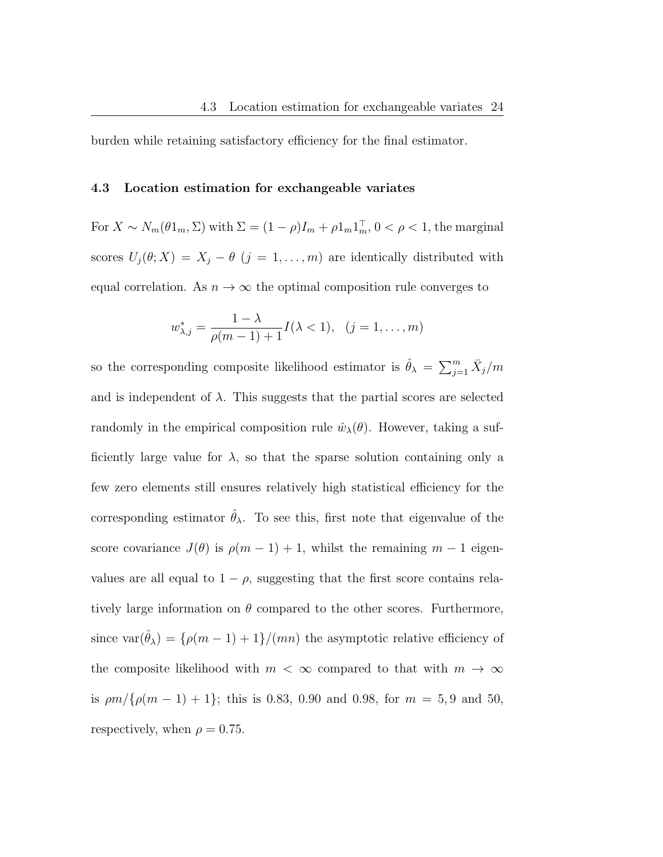burden while retaining satisfactory efficiency for the final estimator.

#### 4.3 Location estimation for exchangeable variates

For  $X \sim N_m(\theta 1_m, \Sigma)$  with  $\Sigma = (1 - \rho)I_m + \rho 1_m I_m^{\top}, 0 < \rho < 1$ , the marginal scores  $U_j(\theta; X) = X_j - \theta$  (j = 1, ..., m) are identically distributed with equal correlation. As  $n \to \infty$  the optimal composition rule converges to

$$
w_{\lambda,j}^* = \frac{1 - \lambda}{\rho(m-1) + 1} I(\lambda < 1), \quad (j = 1, \dots, m)
$$

so the corresponding composite likelihood estimator is  $\hat{\theta}_{\lambda} = \sum_{j=1}^{m} \bar{X}_j/m$ and is independent of  $\lambda$ . This suggests that the partial scores are selected randomly in the empirical composition rule  $\hat{w}_{\lambda}(\theta)$ . However, taking a sufficiently large value for  $\lambda$ , so that the sparse solution containing only a few zero elements still ensures relatively high statistical efficiency for the corresponding estimator  $\hat{\theta}_{\lambda}$ . To see this, first note that eigenvalue of the score covariance  $J(\theta)$  is  $\rho(m-1) + 1$ , whilst the remaining  $m-1$  eigenvalues are all equal to  $1 - \rho$ , suggesting that the first score contains relatively large information on  $\theta$  compared to the other scores. Furthermore, since  $var(\hat{\theta}_{\lambda}) = {\rho(m-1) + 1}/(mn)$  the asymptotic relative efficiency of the composite likelihood with  $m < \infty$  compared to that with  $m \to \infty$ is  $\rho m / \{\rho (m - 1) + 1\}$ ; this is 0.83, 0.90 and 0.98, for  $m = 5, 9$  and 50, respectively, when  $\rho = 0.75$ .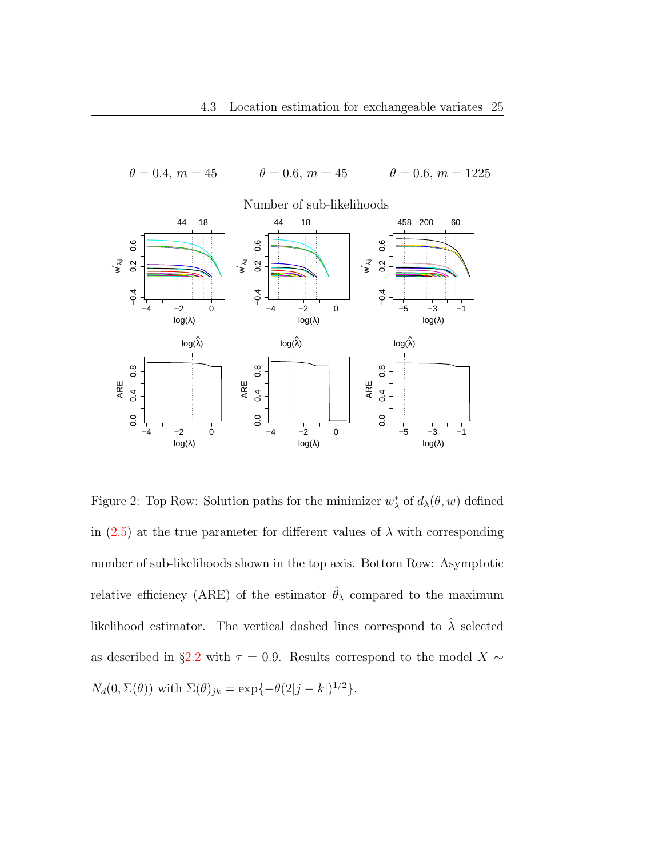

<span id="page-24-0"></span>Figure 2: Top Row: Solution paths for the minimizer  $w^*_{\lambda}$  of  $d_{\lambda}(\theta, w)$  defined in  $(2.5)$  at the true parameter for different values of  $\lambda$  with corresponding number of sub-likelihoods shown in the top axis. Bottom Row: Asymptotic relative efficiency (ARE) of the estimator  $\hat{\theta}_{\lambda}$  compared to the maximum likelihood estimator. The vertical dashed lines correspond to  $\hat{\lambda}$  selected as described in §[2.2](#page-9-0) with  $\tau = 0.9$ . Results correspond to the model X  $\sim$  $N_d(0, \Sigma(\theta))$  with  $\Sigma(\theta)_{jk} = \exp{-\theta(2|j-k|)^{1/2}}$ .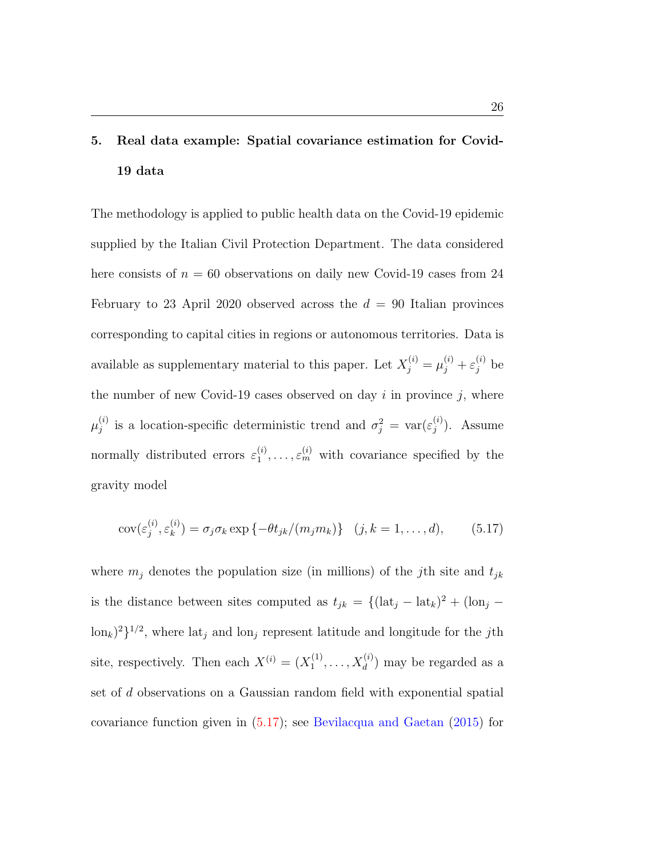# <span id="page-25-0"></span>5. Real data example: Spatial covariance estimation for Covid-19 data

The methodology is applied to public health data on the Covid-19 epidemic supplied by the Italian Civil Protection Department. The data considered here consists of  $n = 60$  observations on daily new Covid-19 cases from 24 February to 23 April 2020 observed across the  $d = 90$  Italian provinces corresponding to capital cities in regions or autonomous territories. Data is available as supplementary material to this paper. Let  $X_j^{(i)} = \mu_j^{(i)} + \varepsilon_j^{(i)}$  be the number of new Covid-19 cases observed on day  $i$  in province  $j$ , where  $\mu^{(i)}_i$ <sup>(i)</sup> is a location-specific deterministic trend and  $\sigma_j^2 = \text{var}(\varepsilon_j^{(i)})$  $j^{(i)}$ ). Assume normally distributed errors  $\varepsilon_1^{(i)}$  $\zeta_1^{(i)}, \ldots, \varepsilon_m^{(i)}$  with covariance specified by the gravity model

<span id="page-25-1"></span>
$$
cov(\varepsilon_j^{(i)}, \varepsilon_k^{(i)}) = \sigma_j \sigma_k \exp\left\{-\theta t_{jk}/(m_j m_k)\right\} \quad (j, k = 1, \dots, d), \tag{5.17}
$$

where  $m_j$  denotes the population size (in millions) of the jth site and  $t_{jk}$ is the distance between sites computed as  $t_{jk} = \{(\text{lat}_j - \text{lat}_k)^2 + (\text{lon}_j - \text{lat}_j)^2\}$  $\lceil \text{lon}_k \rceil^2 \rceil^{1/2}$ , where  $\lceil \text{lat}_j \rceil$  and  $\lceil \text{lon}_j \rceil$  represent latitude and longitude for the *j*th site, respectively. Then each  $X^{(i)} = (X_1^{(1)})$  $X_1^{(1)}, \ldots, X_d^{(i)}$  may be regarded as a set of d observations on a Gaussian random field with exponential spatial covariance function given in [\(5.17\)](#page-25-1); see [Bevilacqua and Gaetan](#page-36-3) [\(2015\)](#page-36-3) for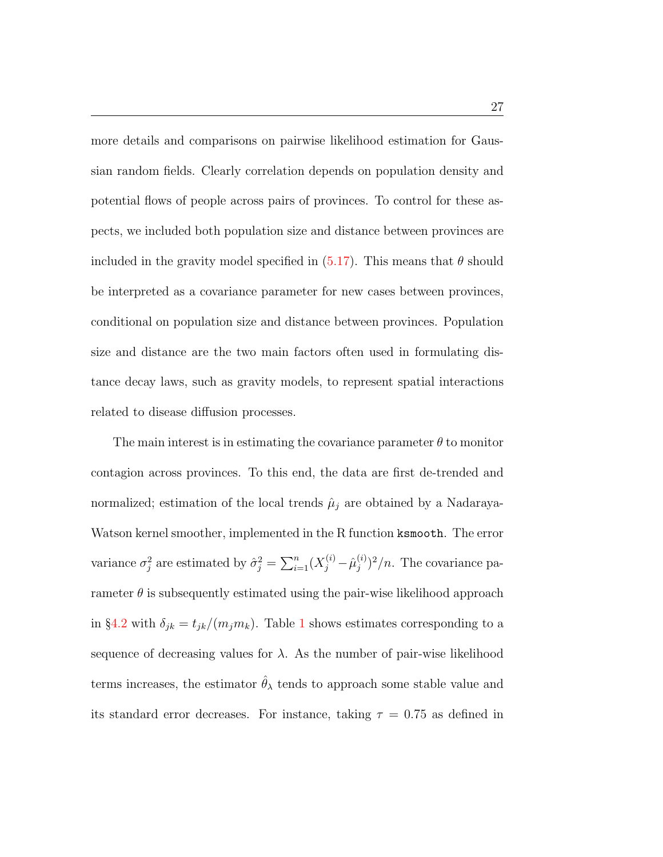more details and comparisons on pairwise likelihood estimation for Gaussian random fields. Clearly correlation depends on population density and potential flows of people across pairs of provinces. To control for these aspects, we included both population size and distance between provinces are included in the gravity model specified in  $(5.17)$ . This means that  $\theta$  should be interpreted as a covariance parameter for new cases between provinces, conditional on population size and distance between provinces. Population size and distance are the two main factors often used in formulating distance decay laws, such as gravity models, to represent spatial interactions related to disease diffusion processes.

The main interest is in estimating the covariance parameter  $\theta$  to monitor contagion across provinces. To this end, the data are first de-trended and normalized; estimation of the local trends  $\hat{\mu}_j$  are obtained by a Nadaraya-Watson kernel smoother, implemented in the R function ksmooth. The error variance  $\sigma_j^2$  are estimated by  $\hat{\sigma}_j^2 = \sum_{i=1}^n (X_j^{(i)} - \hat{\mu}_j^{(i)})$  $j^{(i)}$  $\frac{1}{j}$  $/n$ . The covariance parameter  $\theta$  is subsequently estimated using the pair-wise likelihood approach in §[4.2](#page-20-0) with  $\delta_{jk} = t_{jk}/(m_j m_k)$ . Table [1](#page-27-1) shows estimates corresponding to a sequence of decreasing values for  $\lambda$ . As the number of pair-wise likelihood terms increases, the estimator  $\hat{\theta}_{\lambda}$  tends to approach some stable value and its standard error decreases. For instance, taking  $\tau = 0.75$  as defined in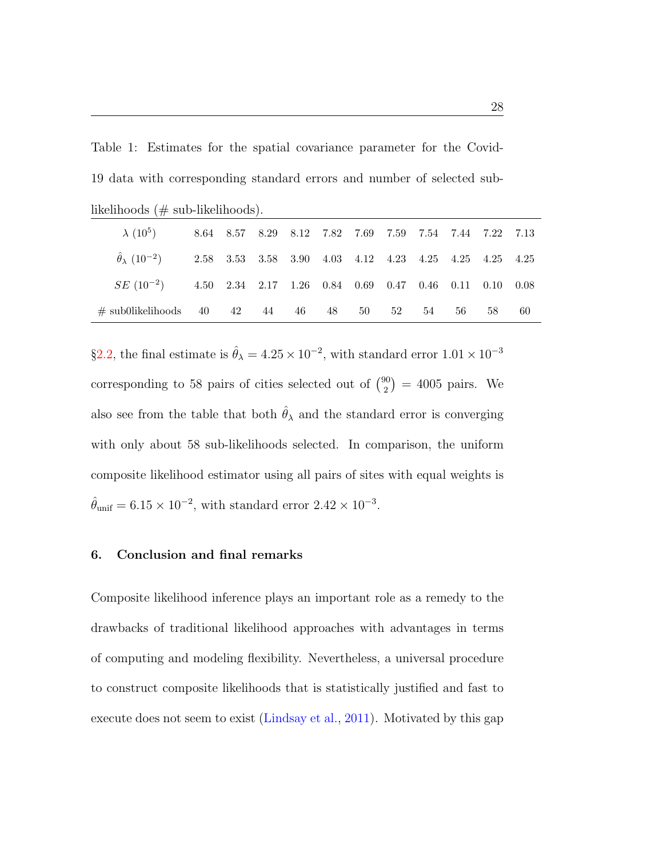<span id="page-27-1"></span>Table 1: Estimates for the spatial covariance parameter for the Covid-19 data with corresponding standard errors and number of selected sub-

| likelihoods $(\#$ sub-likelihoods).                                                 |  |  |  |  |  |    |    |    |                                                        |    |    |
|-------------------------------------------------------------------------------------|--|--|--|--|--|----|----|----|--------------------------------------------------------|----|----|
| $\lambda$ (10 <sup>5</sup> ) 8.64 8.57 8.29 8.12 7.82 7.69 7.59 7.54 7.44 7.22 7.13 |  |  |  |  |  |    |    |    |                                                        |    |    |
| $\ddot{\theta}_{\lambda}$ $(10^{-2})$                                               |  |  |  |  |  |    |    |    | 2.58 3.53 3.58 3.90 4.03 4.12 4.23 4.25 4.25 4.25 4.25 |    |    |
| $SE(10^{-2})$                                                                       |  |  |  |  |  |    |    |    | 4.50 2.34 2.17 1.26 0.84 0.69 0.47 0.46 0.11 0.10 0.08 |    |    |
| $\#$ sub0likelihoods 40 42 44 46 48                                                 |  |  |  |  |  | 50 | 52 | 54 | 56                                                     | 58 | 60 |

§[2.2,](#page-9-0) the final estimate is  $\hat{\theta}_{\lambda} = 4.25 \times 10^{-2}$ , with standard error  $1.01 \times 10^{-3}$ corresponding to 58 pairs of cities selected out of  $\binom{90}{2}$  $\binom{90}{2}$  = 4005 pairs. We also see from the table that both  $\hat{\theta}_{\lambda}$  and the standard error is converging with only about 58 sub-likelihoods selected. In comparison, the uniform composite likelihood estimator using all pairs of sites with equal weights is  $\hat{\theta}_{\text{unif}} = 6.15 \times 10^{-2}$ , with standard error  $2.42 \times 10^{-3}$ .

## <span id="page-27-0"></span>6. Conclusion and final remarks

Composite likelihood inference plays an important role as a remedy to the drawbacks of traditional likelihood approaches with advantages in terms of computing and modeling flexibility. Nevertheless, a universal procedure to construct composite likelihoods that is statistically justified and fast to execute does not seem to exist [\(Lindsay et al.,](#page-37-2) [2011\)](#page-37-2). Motivated by this gap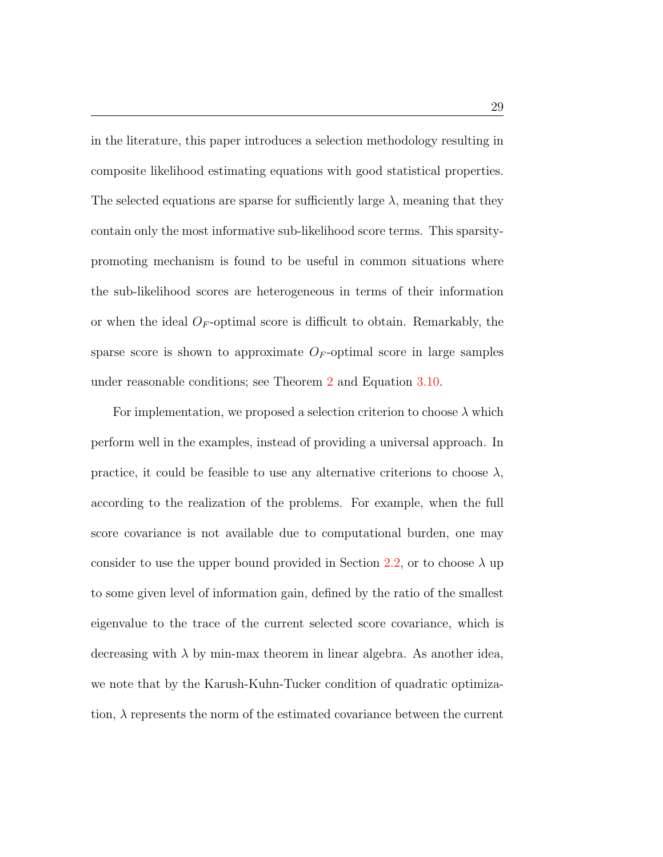in the literature, this paper introduces a selection methodology resulting in composite likelihood estimating equations with good statistical properties. The selected equations are sparse for sufficiently large  $\lambda$ , meaning that they contain only the most informative sub-likelihood score terms. This sparsitypromoting mechanism is found to be useful in common situations where the sub-likelihood scores are heterogeneous in terms of their information or when the ideal  $O_F$ -optimal score is difficult to obtain. Remarkably, the sparse score is shown to approximate  $O_F$ -optimal score in large samples under reasonable conditions; see Theorem [2](#page-14-0) and Equation [3.10.](#page-15-2)

For implementation, we proposed a selection criterion to choose  $\lambda$  which perform well in the examples, instead of providing a universal approach. In practice, it could be feasible to use any alternative criterions to choose  $\lambda$ , according to the realization of the problems. For example, when the full score covariance is not available due to computational burden, one may consider to use the upper bound provided in Section [2.2,](#page-9-0) or to choose  $\lambda$  up to some given level of information gain, defined by the ratio of the smallest eigenvalue to the trace of the current selected score covariance, which is decreasing with  $\lambda$  by min-max theorem in linear algebra. As another idea, we note that by the Karush-Kuhn-Tucker condition of quadratic optimization,  $\lambda$  represents the norm of the estimated covariance between the current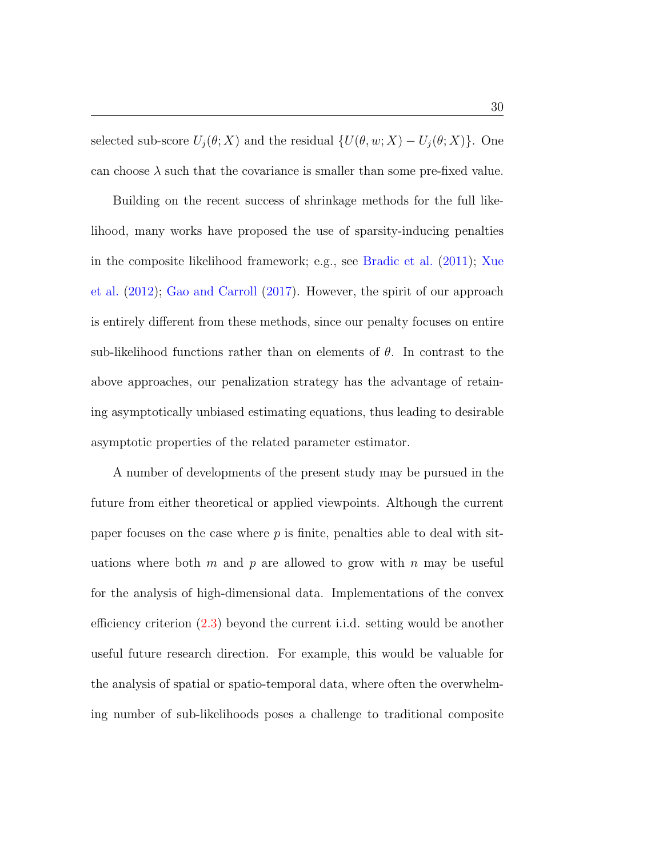selected sub-score  $U_j(\theta; X)$  and the residual  $\{U(\theta, w; X) - U_j(\theta; X)\}\$ . One can choose  $\lambda$  such that the covariance is smaller than some pre-fixed value.

Building on the recent success of shrinkage methods for the full likelihood, many works have proposed the use of sparsity-inducing penalties in the composite likelihood framework; e.g., see [Bradic et al.](#page-36-5) [\(2011\)](#page-36-5); [Xue](#page-38-1) [et al.](#page-38-1) [\(2012\)](#page-38-1); [Gao and Carroll](#page-37-9) [\(2017\)](#page-37-9). However, the spirit of our approach is entirely different from these methods, since our penalty focuses on entire sub-likelihood functions rather than on elements of  $\theta$ . In contrast to the above approaches, our penalization strategy has the advantage of retaining asymptotically unbiased estimating equations, thus leading to desirable asymptotic properties of the related parameter estimator.

A number of developments of the present study may be pursued in the future from either theoretical or applied viewpoints. Although the current paper focuses on the case where  $p$  is finite, penalties able to deal with situations where both m and p are allowed to grow with n may be useful for the analysis of high-dimensional data. Implementations of the convex efficiency criterion [\(2.3\)](#page-5-1) beyond the current i.i.d. setting would be another useful future research direction. For example, this would be valuable for the analysis of spatial or spatio-temporal data, where often the overwhelming number of sub-likelihoods poses a challenge to traditional composite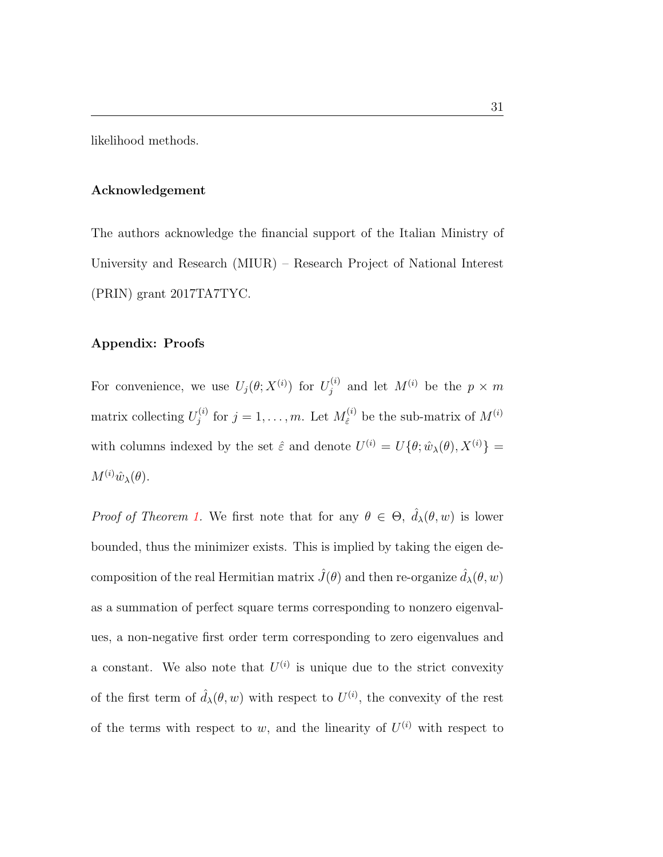likelihood methods.

## Acknowledgement

The authors acknowledge the financial support of the Italian Ministry of University and Research (MIUR) – Research Project of National Interest (PRIN) grant 2017TA7TYC.

#### Appendix: Proofs

For convenience, we use  $U_j(\theta;X^{(i)})$  for  $U_j^{(i)}$  $j^{(i)}$  and let  $M^{(i)}$  be the  $p \times m$ matrix collecting  $U_i^{(i)}$  $j_j^{(i)}$  for  $j = 1, \ldots, m$ . Let  $M_{\hat{\varepsilon}}^{(i)}$  $\hat{\epsilon}^{(i)}$  be the sub-matrix of  $M^{(i)}$ with columns indexed by the set  $\hat{\varepsilon}$  and denote  $U^{(i)} = U{\theta; \hat{w}_{\lambda}(\theta), X^{(i)}} =$  $M^{(i)}\hat{w}_{\lambda}(\theta)$ .

*Proof of Theorem [1.](#page-12-1)* We first note that for any  $\theta \in \Theta$ ,  $\hat{d}_{\lambda}(\theta, w)$  is lower bounded, thus the minimizer exists. This is implied by taking the eigen decomposition of the real Hermitian matrix  $\hat{J}(\theta)$  and then re-organize  $\hat{d}_{\lambda}(\theta, w)$ as a summation of perfect square terms corresponding to nonzero eigenvalues, a non-negative first order term corresponding to zero eigenvalues and a constant. We also note that  $U^{(i)}$  is unique due to the strict convexity of the first term of  $\hat{d}_{\lambda}(\theta, w)$  with respect to  $U^{(i)}$ , the convexity of the rest of the terms with respect to w, and the linearity of  $U^{(i)}$  with respect to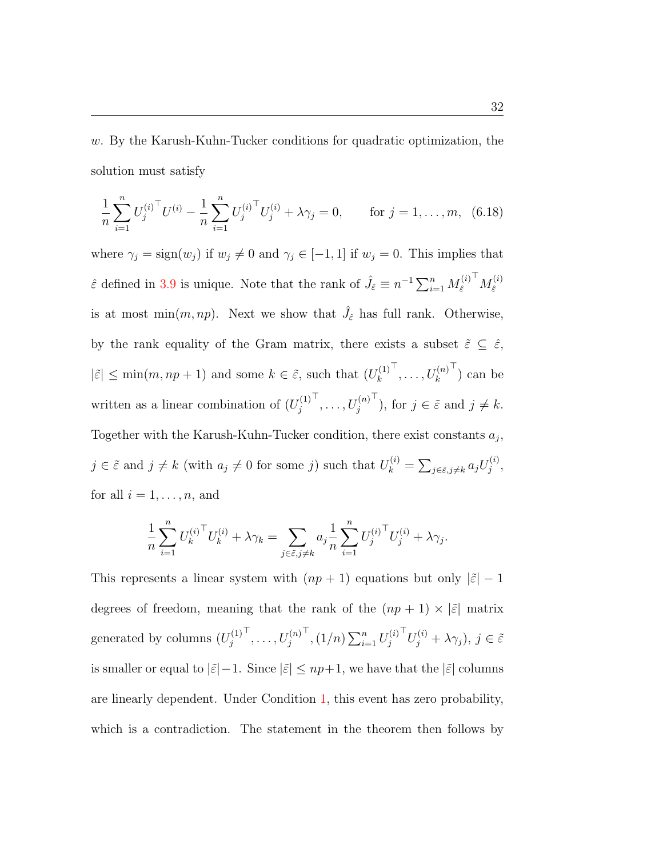w. By the Karush-Kuhn-Tucker conditions for quadratic optimization, the solution must satisfy

<span id="page-31-0"></span>
$$
\frac{1}{n}\sum_{i=1}^{n}U_j^{(i)\top}U^{(i)} - \frac{1}{n}\sum_{i=1}^{n}U_j^{(i)\top}U_j^{(i)} + \lambda\gamma_j = 0, \quad \text{for } j = 1,\dots, m, \ (6.18)
$$

where  $\gamma_j = \text{sign}(w_j)$  if  $w_j \neq 0$  and  $\gamma_j \in [-1, 1]$  if  $w_j = 0$ . This implies that  $\hat{\varepsilon}$  defined in [3.9](#page-12-0) is unique. Note that the rank of  $\hat{J}_{\hat{\varepsilon}} \equiv n^{-1} \sum_{i=1}^{n} M_{\hat{\varepsilon}}^{(i)}$  $\hat{\varepsilon}$  ${}^{\top}M_{\hat\varepsilon}^{(i)}$  $\hat{\varepsilon}$ is at most  $\min(m, np)$ . Next we show that  $\hat{J}_{\hat{\varepsilon}}$  has full rank. Otherwise, by the rank equality of the Gram matrix, there exists a subset  $\tilde{\varepsilon} \subseteq \hat{\varepsilon}$ ,  $|\tilde{\varepsilon}| \leq \min(m, np + 1)$  and some  $k \in \tilde{\varepsilon}$ , such that  $(U_k^{(1)})$ k  $\mathcal{T}, \ldots, U_k^{(n)}$  $\left( \begin{matrix} 1 \\ 1 \end{matrix} \right)$  can be written as a linear combination of  $(U_i^{(1)})$ j  $\mathsf{T},\ldots,U_j^{(n)}$  $\bar{f}$ ), for  $j \in \tilde{\varepsilon}$  and  $j \neq k$ . Together with the Karush-Kuhn-Tucker condition, there exist constants  $a_j$ ,  $j \in \tilde{\varepsilon}$  and  $j \neq k$  (with  $a_j \neq 0$  for some j) such that  $U_k^{(i)} = \sum_{j \in \tilde{\varepsilon}, j \neq k} a_j U_j^{(i)}$  $\frac{1}{j}$ for all  $i = 1, \ldots, n$ , and

$$
\frac{1}{n} \sum_{i=1}^{n} U_k^{(i)^\top} U_k^{(i)} + \lambda \gamma_k = \sum_{j \in \tilde{\varepsilon}, j \neq k} a_j \frac{1}{n} \sum_{i=1}^{n} U_j^{(i)^\top} U_j^{(i)} + \lambda \gamma_j.
$$

This represents a linear system with  $(np + 1)$  equations but only  $|\tilde{\varepsilon}| - 1$ degrees of freedom, meaning that the rank of the  $(np + 1) \times |\tilde{\varepsilon}|$  matrix generated by columns  $(U_i^{(1)})$ j  $\mathcal{I}, \ldots, U_j^{(n)}$  $\int_0^{\tau}$ ,  $(1/n) \sum_{i=1}^n U_j^{(i)}$ j  $\overline{U}_j^{(i)} + \lambda \gamma_j$ ),  $j \in \tilde{\varepsilon}$ is smaller or equal to  $|\tilde{\varepsilon}|-1$ . Since  $|\tilde{\varepsilon}| \le np+1$ , we have that the  $|\tilde{\varepsilon}|$  columns are linearly dependent. Under Condition [1,](#page-11-1) this event has zero probability, which is a contradiction. The statement in the theorem then follows by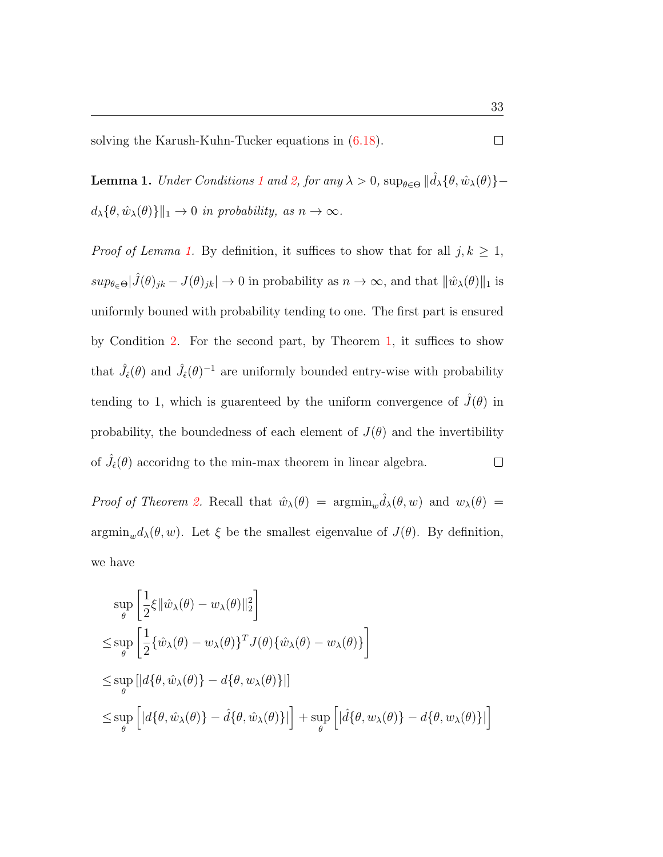solving the Karush-Kuhn-Tucker equations in [\(6.18\)](#page-31-0).

<span id="page-32-0"></span>**Lemma [1](#page-11-1).** Under Conditions 1 and [2,](#page-14-1) for any  $\lambda > 0$ ,  $\sup_{\theta \in \Theta} || \hat{d}_{\lambda} {\{\theta, \hat{w}_{\lambda}(\theta)\}}$  $d_{\lambda}\{\theta,\hat{w}_{\lambda}(\theta)\}\|_{1} \to 0$  in probability, as  $n \to \infty$ .

*Proof of Lemma [1.](#page-32-0)* By definition, it suffices to show that for all  $j, k \geq 1$ ,  $sup_{\theta \in \Theta} |\hat{J}(\theta)_{jk} - J(\theta)_{jk}| \to 0$  in probability as  $n \to \infty$ , and that  $\|\hat{w}_{\lambda}(\theta)\|_{1}$  is uniformly bouned with probability tending to one. The first part is ensured by Condition [2.](#page-14-1) For the second part, by Theorem [1,](#page-12-1) it suffices to show that  $\hat{J}_{\hat{\epsilon}}(\theta)$  and  $\hat{J}_{\hat{\epsilon}}(\theta)^{-1}$  are uniformly bounded entry-wise with probability tending to 1, which is guarenteed by the uniform convergence of  $J(\theta)$  in probability, the boundedness of each element of  $J(\theta)$  and the invertibility of  $\hat{J}_{\hat{\epsilon}}(\theta)$  accoriding to the min-max theorem in linear algebra.  $\Box$ 

Proof of Theorem [2.](#page-14-0) Recall that  $\hat{w}_{\lambda}(\theta) = \operatorname{argmin}_{w} \hat{d}_{\lambda}(\theta, w)$  and  $w_{\lambda}(\theta) =$  $\operatorname{argmin}_{w} d_{\lambda}(\theta, w)$ . Let  $\xi$  be the smallest eigenvalue of  $J(\theta)$ . By definition, we have

$$
\sup_{\theta} \left[ \frac{1}{2} \xi \|\hat{w}_{\lambda}(\theta) - w_{\lambda}(\theta)\|_{2}^{2} \right]
$$
\n
$$
\leq \sup_{\theta} \left[ \frac{1}{2} \{\hat{w}_{\lambda}(\theta) - w_{\lambda}(\theta)\}^{T} J(\theta) \{\hat{w}_{\lambda}(\theta) - w_{\lambda}(\theta)\} \right]
$$
\n
$$
\leq \sup_{\theta} \left[ |d \{\theta, \hat{w}_{\lambda}(\theta)\} - d \{\theta, w_{\lambda}(\theta)\} | \right]
$$
\n
$$
\leq \sup_{\theta} \left[ |d \{\theta, \hat{w}_{\lambda}(\theta)\} - \hat{d} \{\theta, \hat{w}_{\lambda}(\theta)\} | \right] + \sup_{\theta} \left[ |\hat{d} \{\theta, w_{\lambda}(\theta)\} - d \{\theta, w_{\lambda}(\theta)\} | \right]
$$

 $\Box$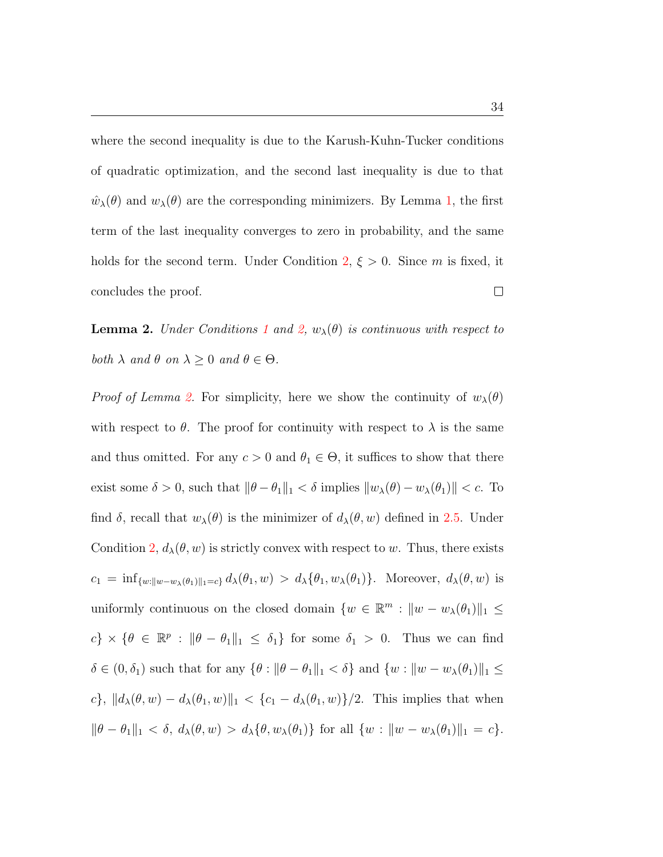where the second inequality is due to the Karush-Kuhn-Tucker conditions of quadratic optimization, and the second last inequality is due to that  $\hat{w}_{\lambda}(\theta)$  and  $w_{\lambda}(\theta)$  are the corresponding minimizers. By Lemma [1,](#page-32-0) the first term of the last inequality converges to zero in probability, and the same holds for the second term. Under Condition [2,](#page-14-1)  $\xi > 0$ . Since m is fixed, it  $\Box$ concludes the proof.

<span id="page-33-0"></span>**Lemma 2.** Under Conditions [1](#page-11-1) and [2,](#page-14-1)  $w_{\lambda}(\theta)$  is continuous with respect to both  $\lambda$  and  $\theta$  on  $\lambda \geq 0$  and  $\theta \in \Theta$ .

*Proof of Lemma [2.](#page-33-0)* For simplicity, here we show the continuity of  $w_\lambda(\theta)$ with respect to  $\theta$ . The proof for continuity with respect to  $\lambda$  is the same and thus omitted. For any  $c > 0$  and  $\theta_1 \in \Theta$ , it suffices to show that there exist some  $\delta > 0$ , such that  $\|\theta - \theta_1\|_1 < \delta$  implies  $\|w_\lambda(\theta) - w_\lambda(\theta_1)\| < c$ . To find  $\delta$ , recall that  $w_{\lambda}(\theta)$  is the minimizer of  $d_{\lambda}(\theta, w)$  defined in [2.5.](#page-8-1) Under Condition [2,](#page-14-1)  $d_{\lambda}(\theta, w)$  is strictly convex with respect to w. Thus, there exists  $c_1 = \inf_{\{w:||w-w_\lambda(\theta_1)||_1=c\}} d_\lambda(\theta_1, w) > d_\lambda(\theta_1, w_\lambda(\theta_1)).$  Moreover,  $d_\lambda(\theta, w)$  is uniformly continuous on the closed domain  $\{w \in \mathbb{R}^m : ||w - w_\lambda(\theta_1)||_1 \leq$  $c\} \times \{\theta \in \mathbb{R}^p : \|\theta - \theta_1\|_1 \leq \delta_1\}$  for some  $\delta_1 > 0$ . Thus we can find  $\delta \in (0, \delta_1)$  such that for any  $\{\theta : ||\theta - \theta_1||_1 < \delta\}$  and  $\{w : ||w - w_\lambda(\theta_1)||_1 \leq$ c},  $||d_{\lambda}(\theta, w) - d_{\lambda}(\theta_1, w)||_1 < \{c_1 - d_{\lambda}(\theta_1, w)\}/2$ . This implies that when  $\|\theta - \theta_1\|_1 < \delta, d_\lambda(\theta, w) > d_\lambda\{\theta, w_\lambda(\theta_1)\}\$ for all  $\{w : \|w - w_\lambda(\theta_1)\|_1 = c\}.$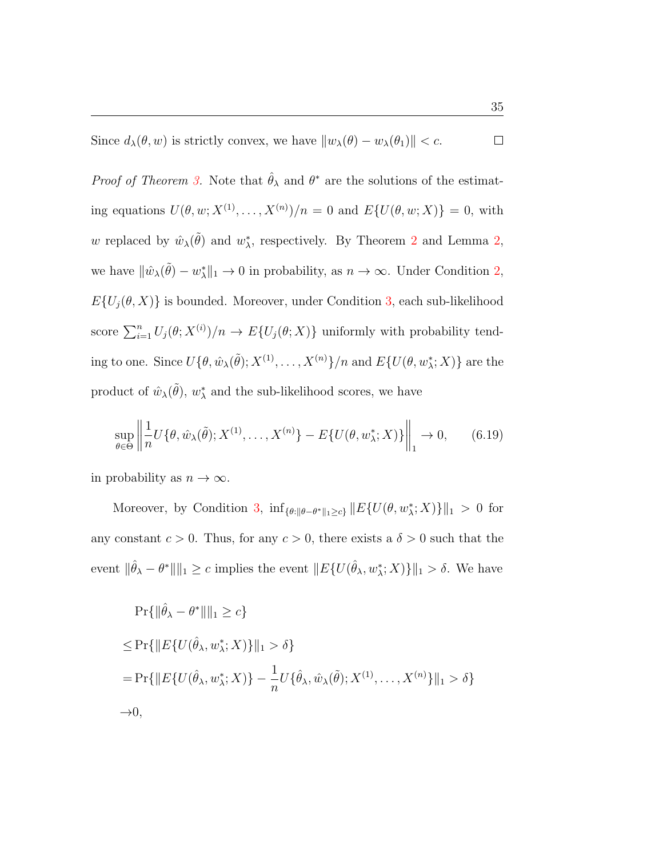Since  $d_{\lambda}(\theta, w)$  is strictly convex, we have  $||w_{\lambda}(\theta) - w_{\lambda}(\theta_1)|| < c$ .  $\Box$ 

*Proof of Theorem [3.](#page-16-0)* Note that  $\hat{\theta}_{\lambda}$  and  $\theta^*$  are the solutions of the estimating equations  $U(\theta, w; X^{(1)}, \dots, X^{(n)})/n = 0$  and  $E\{U(\theta, w; X)\} = 0$ , with w replaced by  $\hat{w}_{\lambda}(\tilde{\theta})$  and  $w_{\lambda}^*$ , respectively. By Theorem [2](#page-14-0) and Lemma [2,](#page-33-0) we have  $\|\hat{w}_{\lambda}(\tilde{\theta}) - w_{\lambda}^*\|_1 \to 0$  in probability, as  $n \to \infty$ . Under Condition [2,](#page-14-1)  $E\{U_j(\theta, X)\}\$ is bounded. Moreover, under Condition [3,](#page-16-2) each sub-likelihood score  $\sum_{i=1}^n U_j(\theta; X^{(i)})/n \to E\{U_j(\theta; X)\}\$  uniformly with probability tending to one. Since  $U\{\theta, \hat{w}_{\lambda}(\tilde{\theta}); X^{(1)}, \ldots, X^{(n)}\}/n$  and  $E\{U(\theta, w_{\lambda}^*; X)\}$  are the product of  $\hat{w}_{\lambda}(\tilde{\theta}), w_{\lambda}^*$  and the sub-likelihood scores, we have

<span id="page-34-0"></span>
$$
\sup_{\theta \in \Theta} \left\| \frac{1}{n} U\{\theta, \hat{w}_{\lambda}(\tilde{\theta}); X^{(1)}, \dots, X^{(n)}\} - E\{U(\theta, w_{\lambda}^*; X)\}\right\|_1 \to 0, \qquad (6.19)
$$

in probability as  $n \to \infty$ .

Moreover, by Condition [3,](#page-16-2)  $\inf_{\{\theta:\|\theta-\theta^*\|_1\geq c\}} ||E\{U(\theta, w^*_{\lambda}; X)\}||_1 > 0$  for any constant  $c > 0$ . Thus, for any  $c > 0$ , there exists a  $\delta > 0$  such that the event  $\|\hat{\theta}_{\lambda} - \theta^*\| \|_1 \geq c$  implies the event  $\| E\{ U(\hat{\theta}_{\lambda}, w_{\lambda}^*; X) \} \|_1 > \delta$ . We have

$$
\Pr\{\|\hat{\theta}_{\lambda} - \theta^*\|\|_1 \ge c\}
$$
  
\n
$$
\le \Pr\{\|E\{U(\hat{\theta}_{\lambda}, w_{\lambda}^*; X)\}\|_1 > \delta\}
$$
  
\n
$$
= \Pr\{\|E\{U(\hat{\theta}_{\lambda}, w_{\lambda}^*; X)\} - \frac{1}{n}U\{\hat{\theta}_{\lambda}, \hat{w}_{\lambda}(\tilde{\theta}); X^{(1)}, \dots, X^{(n)}\}\|_1 > \delta\}
$$
  
\n
$$
\to 0,
$$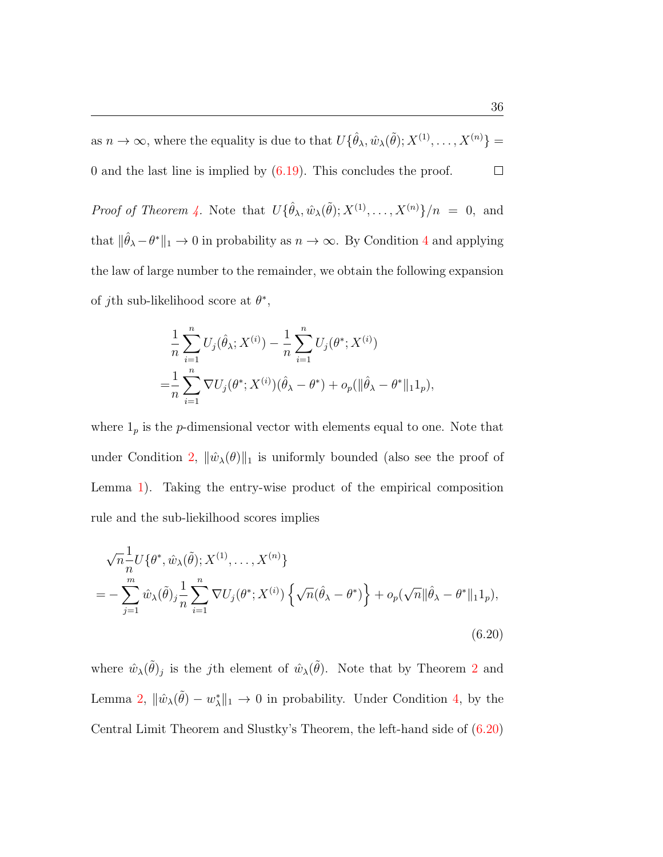as  $n \to \infty$ , where the equality is due to that  $U\{\hat{\theta}_\lambda, \hat{w}_\lambda(\tilde{\theta}); X^{(1)}, \dots, X^{(n)}\} =$ 0 and the last line is implied by [\(6.19\)](#page-34-0). This concludes the proof.  $\Box$ 

*Proof of Theorem [4.](#page-16-1)* Note that  $U\{\hat{\theta}_\lambda, \hat{w}_\lambda(\tilde{\theta}); X^{(1)}, \dots, X^{(n)}\}/n = 0$ , and that  $\|\hat{\theta}_{\lambda} - \theta^*\|_1 \to 0$  in probability as  $n \to \infty$ . By Condition [4](#page-16-3) and applying the law of large number to the remainder, we obtain the following expansion of *j*th sub-likelihood score at  $\theta^*$ ,

$$
\frac{1}{n} \sum_{i=1}^{n} U_j(\hat{\theta}_{\lambda}; X^{(i)}) - \frac{1}{n} \sum_{i=1}^{n} U_j(\theta^*; X^{(i)})
$$
  
= 
$$
\frac{1}{n} \sum_{i=1}^{n} \nabla U_j(\theta^*; X^{(i)}) (\hat{\theta}_{\lambda} - \theta^*) + o_p(||\hat{\theta}_{\lambda} - \theta^*||_1 1_p),
$$

where  $1<sub>p</sub>$  is the *p*-dimensional vector with elements equal to one. Note that under Condition [2,](#page-14-1)  $\|\hat{w}_{\lambda}(\theta)\|_{1}$  is uniformly bounded (also see the proof of Lemma [1\)](#page-32-0). Taking the entry-wise product of the empirical composition rule and the sub-liekilhood scores implies

<span id="page-35-0"></span>
$$
\sqrt{n}\frac{1}{n}U\{\theta^*,\hat{w}_{\lambda}(\tilde{\theta});X^{(1)},\ldots,X^{(n)}\}
$$
  
= 
$$
-\sum_{j=1}^m \hat{w}_{\lambda}(\tilde{\theta})_j \frac{1}{n} \sum_{i=1}^n \nabla U_j(\theta^*,X^{(i)}) \left\{\sqrt{n}(\hat{\theta}_{\lambda} - \theta^*)\right\} + o_p(\sqrt{n} \|\hat{\theta}_{\lambda} - \theta^*\|_1 1_p),
$$
  
(6.20)

where  $\hat{w}_{\lambda}(\tilde{\theta})_j$  is the *j*th element of  $\hat{w}_{\lambda}(\tilde{\theta})$ . Note that by Theorem [2](#page-14-0) and Lemma [2,](#page-33-0)  $\|\hat{w}_{\lambda}(\tilde{\theta}) - w_{\lambda}^*\|_1 \to 0$  in probability. Under Condition [4,](#page-16-3) by the Central Limit Theorem and Slustky's Theorem, the left-hand side of [\(6.20\)](#page-35-0)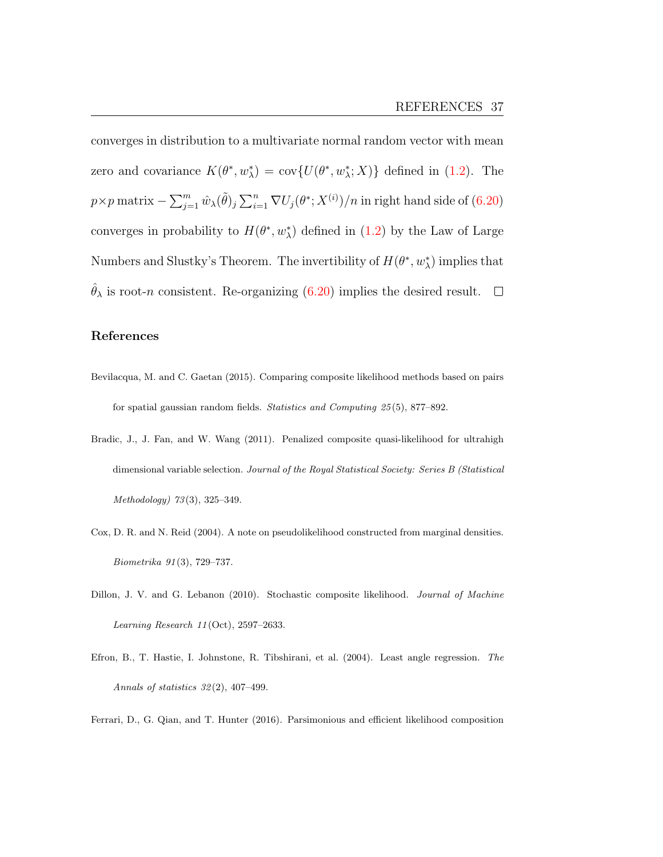converges in distribution to a multivariate normal random vector with mean zero and covariance  $K(\theta^*, w^*_{\lambda}) = \text{cov}\{U(\theta^*, w^*_{\lambda}; X)\}\$  defined in [\(1.2\)](#page-3-0). The  $p \times p$  matrix  $-\sum_{j=1}^m \hat{w}_\lambda(\tilde{\theta})_j \sum_{i=1}^n \nabla U_j(\theta^*;X^{(i)})/n$  in right hand side of  $(6.20)$ converges in probability to  $H(\theta^*, w_\lambda^*)$  defined in [\(1.2\)](#page-3-0) by the Law of Large Numbers and Slustky's Theorem. The invertibility of  $H(\theta^*, w_\lambda^*)$  implies that  $\hat{\theta}_{\lambda}$  is root-*n* consistent. Re-organizing [\(6.20\)](#page-35-0) implies the desired result.  $\square$ 

## <span id="page-36-3"></span>References

- Bevilacqua, M. and C. Gaetan (2015). Comparing composite likelihood methods based on pairs for spatial gaussian random fields. Statistics and Computing 25 (5), 877–892.
- <span id="page-36-5"></span>Bradic, J., J. Fan, and W. Wang (2011). Penalized composite quasi-likelihood for ultrahigh dimensional variable selection. Journal of the Royal Statistical Society: Series B (Statistical Methodology) 73 (3), 325–349.
- <span id="page-36-0"></span>Cox, D. R. and N. Reid (2004). A note on pseudolikelihood constructed from marginal densities. Biometrika 91 (3), 729–737.
- <span id="page-36-2"></span>Dillon, J. V. and G. Lebanon (2010). Stochastic composite likelihood. Journal of Machine Learning Research 11 (Oct), 2597–2633.
- <span id="page-36-4"></span>Efron, B., T. Hastie, I. Johnstone, R. Tibshirani, et al. (2004). Least angle regression. The Annals of statistics 32 (2), 407–499.

<span id="page-36-1"></span>Ferrari, D., G. Qian, and T. Hunter (2016). Parsimonious and efficient likelihood composition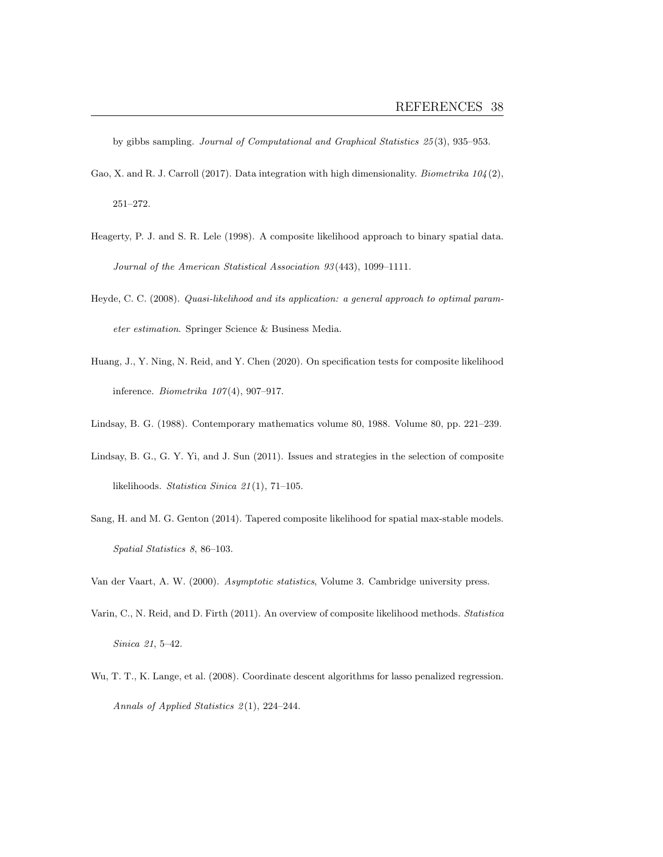by gibbs sampling. Journal of Computational and Graphical Statistics 25 (3), 935–953.

- <span id="page-37-9"></span>Gao, X. and R. J. Carroll (2017). Data integration with high dimensionality. Biometrika  $104(2)$ , 251–272.
- <span id="page-37-5"></span>Heagerty, P. J. and S. R. Lele (1998). A composite likelihood approach to binary spatial data. Journal of the American Statistical Association 93 (443), 1099–1111.
- <span id="page-37-4"></span>Heyde, C. C. (2008). Quasi-likelihood and its application: a general approach to optimal parameter estimation. Springer Science & Business Media.
- <span id="page-37-3"></span>Huang, J., Y. Ning, N. Reid, and Y. Chen (2020). On specification tests for composite likelihood inference. Biometrika  $107(4)$ , 907-917.
- <span id="page-37-2"></span><span id="page-37-1"></span>Lindsay, B. G. (1988). Contemporary mathematics volume 80, 1988. Volume 80, pp. 221–239.
- Lindsay, B. G., G. Y. Yi, and J. Sun (2011). Issues and strategies in the selection of composite likelihoods. Statistica Sinica 21 (1), 71–105.
- <span id="page-37-6"></span>Sang, H. and M. G. Genton (2014). Tapered composite likelihood for spatial max-stable models. Spatial Statistics 8, 86–103.
- <span id="page-37-7"></span><span id="page-37-0"></span>Van der Vaart, A. W. (2000). Asymptotic statistics, Volume 3. Cambridge university press.
- Varin, C., N. Reid, and D. Firth (2011). An overview of composite likelihood methods. Statistica Sinica 21, 5–42.
- <span id="page-37-8"></span>Wu, T. T., K. Lange, et al. (2008). Coordinate descent algorithms for lasso penalized regression. Annals of Applied Statistics 2(1), 224-244.